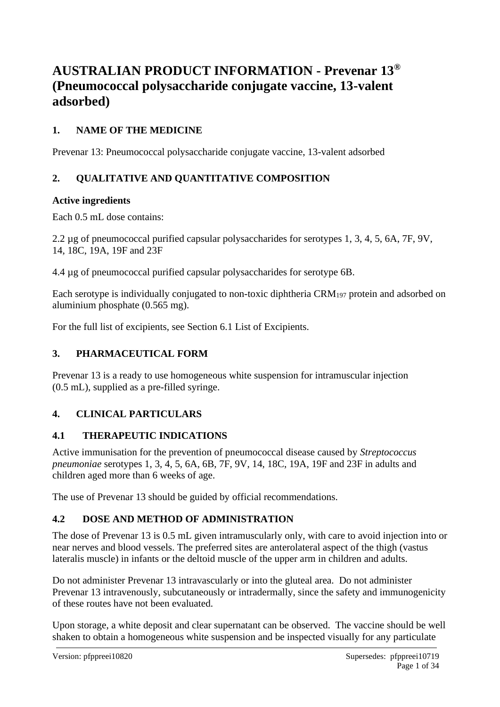# **AUSTRALIAN PRODUCT INFORMATION - Prevenar 13® (Pneumococcal polysaccharide conjugate vaccine, 13-valent adsorbed)**

# **1. NAME OF THE MEDICINE**

Prevenar 13: Pneumococcal polysaccharide conjugate vaccine, 13-valent adsorbed

# **2. QUALITATIVE AND QUANTITATIVE COMPOSITION**

# **Active ingredients**

Each 0.5 mL dose contains:

2.2 µg of pneumococcal purified capsular polysaccharides for serotypes 1, 3, 4, 5, 6A, 7F, 9V, 14, 18C, 19A, 19F and 23F

4.4 µg of pneumococcal purified capsular polysaccharides for serotype 6B.

Each serotype is individually conjugated to non-toxic diphtheria CRM<sup>197</sup> protein and adsorbed on aluminium phosphate (0.565 mg).

For the full list of excipients, see Section 6.1 List of Excipients.

# **3. PHARMACEUTICAL FORM**

Prevenar 13 is a ready to use homogeneous white suspension for intramuscular injection (0.5 mL), supplied as a pre-filled syringe.

# **4. CLINICAL PARTICULARS**

# **4.1 THERAPEUTIC INDICATIONS**

Active immunisation for the prevention of pneumococcal disease caused by *Streptococcus pneumoniae* serotypes 1, 3, 4, 5, 6A, 6B, 7F, 9V, 14, 18C, 19A, 19F and 23F in adults and children aged more than 6 weeks of age.

The use of Prevenar 13 should be guided by official recommendations.

# **4.2 DOSE AND METHOD OF ADMINISTRATION**

The dose of Prevenar 13 is 0.5 mL given intramuscularly only, with care to avoid injection into or near nerves and blood vessels. The preferred sites are anterolateral aspect of the thigh (vastus lateralis muscle) in infants or the deltoid muscle of the upper arm in children and adults.

Do not administer Prevenar 13 intravascularly or into the gluteal area. Do not administer Prevenar 13 intravenously, subcutaneously or intradermally, since the safety and immunogenicity of these routes have not been evaluated.

Upon storage, a white deposit and clear supernatant can be observed. The vaccine should be well shaken to obtain a homogeneous white suspension and be inspected visually for any particulate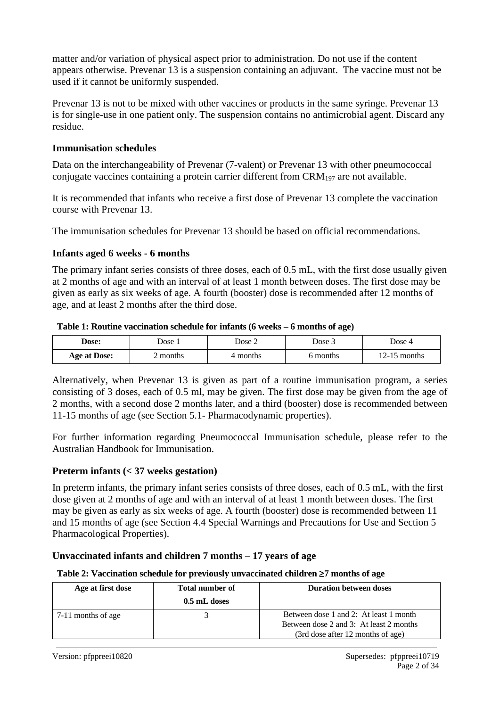matter and/or variation of physical aspect prior to administration. Do not use if the content appears otherwise. Prevenar 13 is a suspension containing an adjuvant. The vaccine must not be used if it cannot be uniformly suspended.

Prevenar 13 is not to be mixed with other vaccines or products in the same syringe. Prevenar 13 is for single-use in one patient only. The suspension contains no antimicrobial agent. Discard any residue.

## **Immunisation schedules**

Data on the interchangeability of Prevenar (7-valent) or Prevenar 13 with other pneumococcal conjugate vaccines containing a protein carrier different from  $\text{CRM}_{197}$  are not available.

It is recommended that infants who receive a first dose of Prevenar 13 complete the vaccination course with Prevenar 13.

The immunisation schedules for Prevenar 13 should be based on official recommendations.

#### **Infants aged 6 weeks - 6 months**

The primary infant series consists of three doses, each of 0.5 mL, with the first dose usually given at 2 months of age and with an interval of at least 1 month between doses. The first dose may be given as early as six weeks of age. A fourth (booster) dose is recommended after 12 months of age, and at least 2 months after the third dose.

#### **Table 1: Routine vaccination schedule for infants (6 weeks – 6 months of age)**

| Dose:               | $)$ ose<br>Dose 2 |        | $\cup$ ose $\overline{\phantom{0}}$ | Jose 4         |  |
|---------------------|-------------------|--------|-------------------------------------|----------------|--|
| <b>Age at Dose:</b> | months            | months | months                              | months<br>-471 |  |

Alternatively, when Prevenar 13 is given as part of a routine immunisation program, a series consisting of 3 doses, each of 0.5 ml, may be given. The first dose may be given from the age of 2 months, with a second dose 2 months later, and a third (booster) dose is recommended between 11-15 months of age (see Section 5.1- Pharmacodynamic properties).

For further information regarding Pneumococcal Immunisation schedule, please refer to the Australian Handbook for Immunisation.

#### **Preterm infants (< 37 weeks gestation)**

In preterm infants, the primary infant series consists of three doses, each of 0.5 mL, with the first dose given at 2 months of age and with an interval of at least 1 month between doses. The first may be given as early as six weeks of age. A fourth (booster) dose is recommended between 11 and 15 months of age (see Section 4.4 Special Warnings and Precautions for Use and Section 5 Pharmacological Properties).

## **Unvaccinated infants and children 7 months – 17 years of age**

#### **Table 2: Vaccination schedule for previously unvaccinated children 7 months of age**

| Age at first dose  | <b>Total number of</b><br>0.5 mL doses | <b>Duration between doses</b>                                                     |
|--------------------|----------------------------------------|-----------------------------------------------------------------------------------|
| 7-11 months of age |                                        | Between dose 1 and 2: At least 1 month<br>Between dose 2 and 3: At least 2 months |
|                    |                                        | (3rd dose after 12 months of age)                                                 |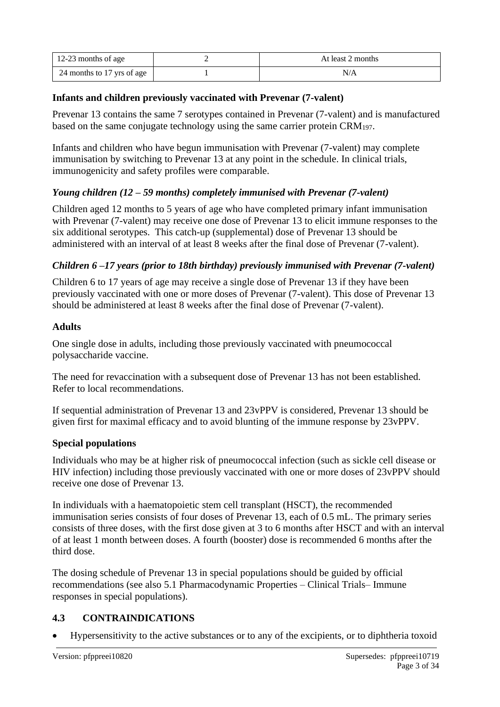| 12-23 months of age        | At least 2 months |
|----------------------------|-------------------|
| 24 months to 17 yrs of age | N/A               |

## **Infants and children previously vaccinated with Prevenar (7-valent)**

Prevenar 13 contains the same 7 serotypes contained in Prevenar (7-valent) and is manufactured based on the same conjugate technology using the same carrier protein CRM197.

Infants and children who have begun immunisation with Prevenar (7-valent) may complete immunisation by switching to Prevenar 13 at any point in the schedule. In clinical trials, immunogenicity and safety profiles were comparable.

# *Young children (12 – 59 months) completely immunised with Prevenar (7-valent)*

Children aged 12 months to 5 years of age who have completed primary infant immunisation with Prevenar (7-valent) may receive one dose of Prevenar 13 to elicit immune responses to the six additional serotypes. This catch-up (supplemental) dose of Prevenar 13 should be administered with an interval of at least 8 weeks after the final dose of Prevenar (7-valent).

# *Children 6 –17 years (prior to 18th birthday) previously immunised with Prevenar (7-valent)*

Children 6 to 17 years of age may receive a single dose of Prevenar 13 if they have been previously vaccinated with one or more doses of Prevenar (7-valent). This dose of Prevenar 13 should be administered at least 8 weeks after the final dose of Prevenar (7-valent).

#### **Adults**

One single dose in adults, including those previously vaccinated with pneumococcal polysaccharide vaccine.

The need for revaccination with a subsequent dose of Prevenar 13 has not been established. Refer to local recommendations.

If sequential administration of Prevenar 13 and 23vPPV is considered, Prevenar 13 should be given first for maximal efficacy and to avoid blunting of the immune response by 23vPPV.

## **Special populations**

Individuals who may be at higher risk of pneumococcal infection (such as sickle cell disease or HIV infection) including those previously vaccinated with one or more doses of 23vPPV should receive one dose of Prevenar 13.

In individuals with a haematopoietic stem cell transplant (HSCT), the recommended immunisation series consists of four doses of Prevenar 13, each of 0.5 mL. The primary series consists of three doses, with the first dose given at 3 to 6 months after HSCT and with an interval of at least 1 month between doses. A fourth (booster) dose is recommended 6 months after the third dose.

The dosing schedule of Prevenar 13 in special populations should be guided by official recommendations (see also 5.1 Pharmacodynamic Properties – Clinical Trials– Immune responses in special populations).

# **4.3 CONTRAINDICATIONS**

• Hypersensitivity to the active substances or to any of the excipients, or to diphtheria toxoid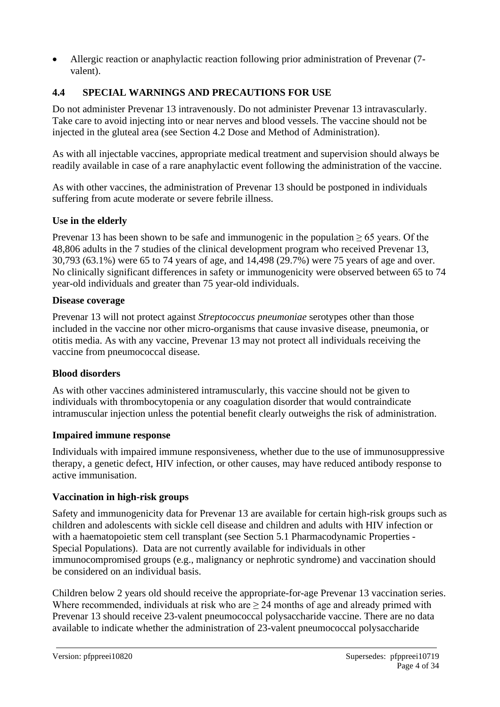• Allergic reaction or anaphylactic reaction following prior administration of Prevenar (7 valent).

# **4.4 SPECIAL WARNINGS AND PRECAUTIONS FOR USE**

Do not administer Prevenar 13 intravenously. Do not administer Prevenar 13 intravascularly. Take care to avoid injecting into or near nerves and blood vessels. The vaccine should not be injected in the gluteal area (see Section 4.2 Dose and Method of Administration).

As with all injectable vaccines, appropriate medical treatment and supervision should always be readily available in case of a rare anaphylactic event following the administration of the vaccine.

As with other vaccines, the administration of Prevenar 13 should be postponed in individuals suffering from acute moderate or severe febrile illness.

## **Use in the elderly**

Prevenar 13 has been shown to be safe and immunogenic in the population ≥ 65 years. Of the 48,806 adults in the 7 studies of the clinical development program who received Prevenar 13, 30,793 (63.1%) were 65 to 74 years of age, and 14,498 (29.7%) were 75 years of age and over. No clinically significant differences in safety or immunogenicity were observed between 65 to 74 year-old individuals and greater than 75 year-old individuals.

#### **Disease coverage**

Prevenar 13 will not protect against *Streptococcus pneumoniae* serotypes other than those included in the vaccine nor other micro-organisms that cause invasive disease, pneumonia, or otitis media. As with any vaccine, Prevenar 13 may not protect all individuals receiving the vaccine from pneumococcal disease.

## **Blood disorders**

As with other vaccines administered intramuscularly, this vaccine should not be given to individuals with thrombocytopenia or any coagulation disorder that would contraindicate intramuscular injection unless the potential benefit clearly outweighs the risk of administration.

#### **Impaired immune response**

Individuals with impaired immune responsiveness, whether due to the use of immunosuppressive therapy, a genetic defect, HIV infection, or other causes, may have reduced antibody response to active immunisation.

## **Vaccination in high-risk groups**

Safety and immunogenicity data for Prevenar 13 are available for certain high-risk groups such as children and adolescents with sickle cell disease and children and adults with HIV infection or with a haematopoietic stem cell transplant (see Section 5.1 Pharmacodynamic Properties -Special Populations). Data are not currently available for individuals in other immunocompromised groups (e.g., malignancy or nephrotic syndrome) and vaccination should be considered on an individual basis.

Children below 2 years old should receive the appropriate-for-age Prevenar 13 vaccination series. Where recommended, individuals at risk who are  $\geq$  24 months of age and already primed with Prevenar 13 should receive 23-valent pneumococcal polysaccharide vaccine. There are no data available to indicate whether the administration of 23-valent pneumococcal polysaccharide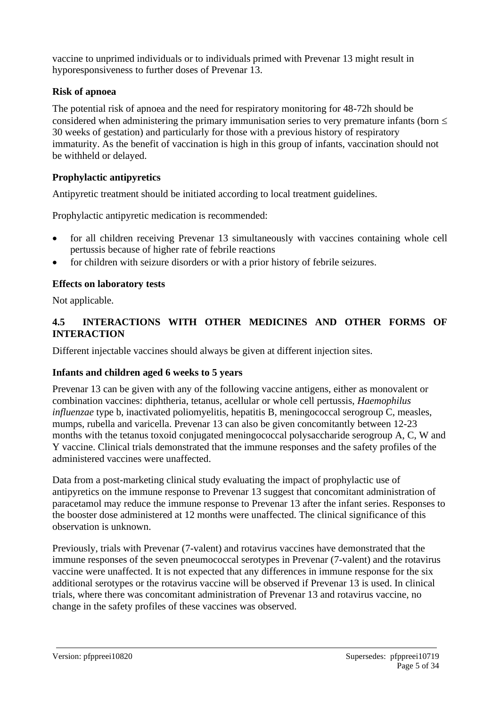vaccine to unprimed individuals or to individuals primed with Prevenar 13 might result in hyporesponsiveness to further doses of Prevenar 13.

## **Risk of apnoea**

The potential risk of apnoea and the need for respiratory monitoring for 48-72h should be considered when administering the primary immunisation series to very premature infants (born  $\leq$ 30 weeks of gestation) and particularly for those with a previous history of respiratory immaturity. As the benefit of vaccination is high in this group of infants, vaccination should not be withheld or delayed.

## **Prophylactic antipyretics**

Antipyretic treatment should be initiated according to local treatment guidelines.

Prophylactic antipyretic medication is recommended:

- for all children receiving Prevenar 13 simultaneously with vaccines containing whole cell pertussis because of higher rate of febrile reactions
- for children with seizure disorders or with a prior history of febrile seizures.

#### **Effects on laboratory tests**

Not applicable.

## **4.5 INTERACTIONS WITH OTHER MEDICINES AND OTHER FORMS OF INTERACTION**

Different injectable vaccines should always be given at different injection sites.

## **Infants and children aged 6 weeks to 5 years**

Prevenar 13 can be given with any of the following vaccine antigens, either as monovalent or combination vaccines: diphtheria, tetanus, acellular or whole cell pertussis, *Haemophilus influenzae* type b, inactivated poliomyelitis, hepatitis B, meningococcal serogroup C, measles, mumps, rubella and varicella. Prevenar 13 can also be given concomitantly between 12-23 months with the tetanus toxoid conjugated meningococcal polysaccharide serogroup A, C, W and Y vaccine. Clinical trials demonstrated that the immune responses and the safety profiles of the administered vaccines were unaffected.

Data from a post-marketing clinical study evaluating the impact of prophylactic use of antipyretics on the immune response to Prevenar 13 suggest that concomitant administration of paracetamol may reduce the immune response to Prevenar 13 after the infant series. Responses to the booster dose administered at 12 months were unaffected. The clinical significance of this observation is unknown.

Previously, trials with Prevenar (7-valent) and rotavirus vaccines have demonstrated that the immune responses of the seven pneumococcal serotypes in Prevenar (7-valent) and the rotavirus vaccine were unaffected. It is not expected that any differences in immune response for the six additional serotypes or the rotavirus vaccine will be observed if Prevenar 13 is used. In clinical trials, where there was concomitant administration of Prevenar 13 and rotavirus vaccine, no change in the safety profiles of these vaccines was observed.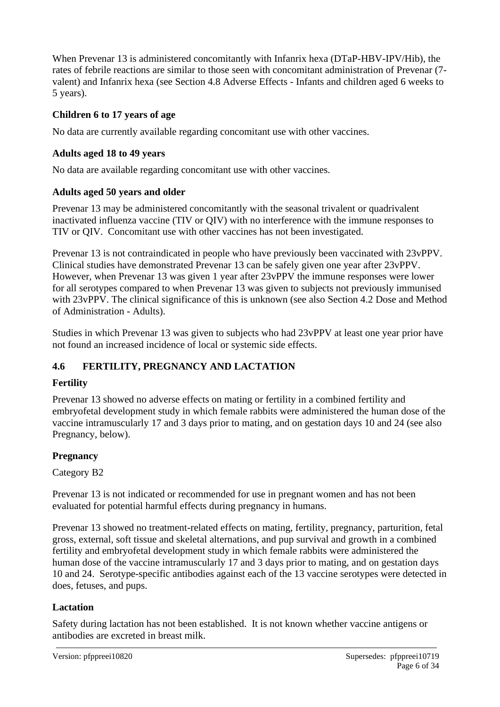When Prevenar 13 is administered concomitantly with Infanrix hexa (DTaP-HBV-IPV/Hib), the rates of febrile reactions are similar to those seen with concomitant administration of Prevenar (7 valent) and Infanrix hexa (see Section 4.8 Adverse Effects - Infants and children aged 6 weeks to 5 years).

# **Children 6 to 17 years of age**

No data are currently available regarding concomitant use with other vaccines.

## **Adults aged 18 to 49 years**

No data are available regarding concomitant use with other vaccines.

#### **Adults aged 50 years and older**

Prevenar 13 may be administered concomitantly with the seasonal trivalent or quadrivalent inactivated influenza vaccine (TIV or QIV) with no interference with the immune responses to TIV or QIV. Concomitant use with other vaccines has not been investigated.

Prevenar 13 is not contraindicated in people who have previously been vaccinated with 23vPPV. Clinical studies have demonstrated Prevenar 13 can be safely given one year after 23vPPV. However, when Prevenar 13 was given 1 year after 23vPPV the immune responses were lower for all serotypes compared to when Prevenar 13 was given to subjects not previously immunised with 23vPPV. The clinical significance of this is unknown (see also Section 4.2 Dose and Method of Administration - Adults).

Studies in which Prevenar 13 was given to subjects who had 23vPPV at least one year prior have not found an increased incidence of local or systemic side effects.

# **4.6 FERTILITY, PREGNANCY AND LACTATION**

## **Fertility**

Prevenar 13 showed no adverse effects on mating or fertility in a combined fertility and embryofetal development study in which female rabbits were administered the human dose of the vaccine intramuscularly 17 and 3 days prior to mating, and on gestation days 10 and 24 (see also Pregnancy, below).

## **Pregnancy**

Category B2

Prevenar 13 is not indicated or recommended for use in pregnant women and has not been evaluated for potential harmful effects during pregnancy in humans.

Prevenar 13 showed no treatment-related effects on mating, fertility, pregnancy, parturition, fetal gross, external, soft tissue and skeletal alternations, and pup survival and growth in a combined fertility and embryofetal development study in which female rabbits were administered the human dose of the vaccine intramuscularly 17 and 3 days prior to mating, and on gestation days 10 and 24. Serotype-specific antibodies against each of the 13 vaccine serotypes were detected in does, fetuses, and pups.

## **Lactation**

Safety during lactation has not been established. It is not known whether vaccine antigens or antibodies are excreted in breast milk.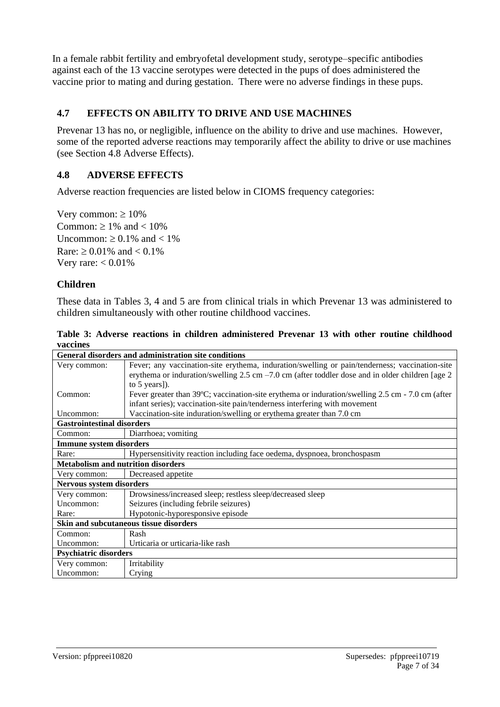In a female rabbit fertility and embryofetal development study, serotype–specific antibodies against each of the 13 vaccine serotypes were detected in the pups of does administered the vaccine prior to mating and during gestation. There were no adverse findings in these pups.

# **4.7 EFFECTS ON ABILITY TO DRIVE AND USE MACHINES**

Prevenar 13 has no, or negligible, influence on the ability to drive and use machines. However, some of the reported adverse reactions may temporarily affect the ability to drive or use machines (see Section 4.8 Adverse Effects).

## **4.8 ADVERSE EFFECTS**

Adverse reaction frequencies are listed below in CIOMS frequency categories:

Very common:  $\geq 10\%$ Common:  $\geq 1\%$  and  $< 10\%$ Uncommon:  $\geq 0.1\%$  and  $\lt 1\%$ Rare:  $\geq 0.01\%$  and  $< 0.1\%$ Very rare:  $< 0.01\%$ 

## **Children**

These data in Tables 3, 4 and 5 are from clinical trials in which Prevenar 13 was administered to children simultaneously with other routine childhood vaccines.

|          |  |  | Table 3: Adverse reactions in children administered Prevenar 13 with other routine childhood |  |  |  |
|----------|--|--|----------------------------------------------------------------------------------------------|--|--|--|
| vaccines |  |  |                                                                                              |  |  |  |

|                                           | <b>General disorders and administration site conditions</b>                                                |  |  |  |  |  |
|-------------------------------------------|------------------------------------------------------------------------------------------------------------|--|--|--|--|--|
| Very common:                              | Fever; any vaccination-site erythema, induration/swelling or pain/tenderness; vaccination-site             |  |  |  |  |  |
|                                           | erythema or induration/swelling 2.5 cm $-7.0$ cm (after toddler dose and in older children [age 2          |  |  |  |  |  |
|                                           | to $5$ years]).                                                                                            |  |  |  |  |  |
| Common:                                   | Fever greater than $39^{\circ}$ C; vaccination-site erythema or induration/swelling 2.5 cm - 7.0 cm (after |  |  |  |  |  |
|                                           | infant series); vaccination-site pain/tenderness interfering with movement                                 |  |  |  |  |  |
| Uncommon:                                 | Vaccination-site induration/swelling or erythema greater than 7.0 cm                                       |  |  |  |  |  |
| <b>Gastrointestinal disorders</b>         |                                                                                                            |  |  |  |  |  |
| Common:                                   | Diarrhoea; vomiting                                                                                        |  |  |  |  |  |
| <b>Immune system disorders</b>            |                                                                                                            |  |  |  |  |  |
| Rare:                                     | Hypersensitivity reaction including face oedema, dyspnoea, bronchospasm                                    |  |  |  |  |  |
| <b>Metabolism and nutrition disorders</b> |                                                                                                            |  |  |  |  |  |
| Very common:                              | Decreased appetite                                                                                         |  |  |  |  |  |
| <b>Nervous system disorders</b>           |                                                                                                            |  |  |  |  |  |
| Very common:                              | Drowsiness/increased sleep; restless sleep/decreased sleep                                                 |  |  |  |  |  |
| Uncommon:                                 | Seizures (including febrile seizures)                                                                      |  |  |  |  |  |
| Rare:                                     | Hypotonic-hyporesponsive episode                                                                           |  |  |  |  |  |
|                                           | Skin and subcutaneous tissue disorders                                                                     |  |  |  |  |  |
| Common:                                   | Rash                                                                                                       |  |  |  |  |  |
| Uncommon:                                 | Urticaria or urticaria-like rash                                                                           |  |  |  |  |  |
|                                           | <b>Psychiatric disorders</b>                                                                               |  |  |  |  |  |
| Very common:                              | Irritability                                                                                               |  |  |  |  |  |
| Uncommon:                                 | Crying                                                                                                     |  |  |  |  |  |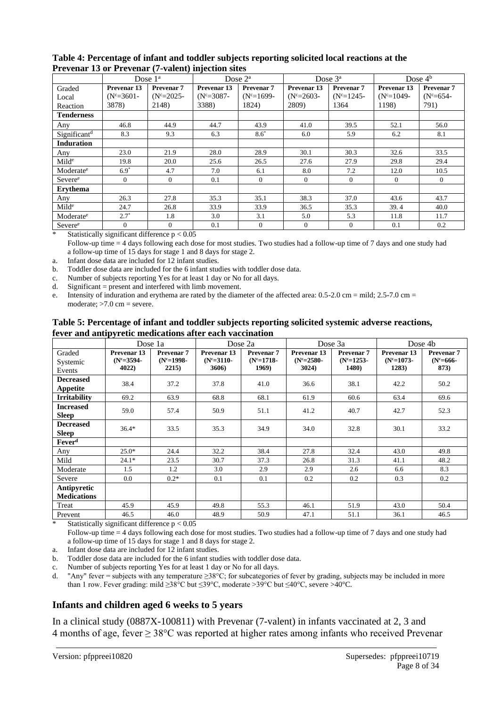|                          | Dose $3^a$<br>Dose $1^a$<br>Dose $2^a$ |                   |              | Dose $4b$    |                        |                       |              |                       |
|--------------------------|----------------------------------------|-------------------|--------------|--------------|------------------------|-----------------------|--------------|-----------------------|
| Graded                   | Prevenar <sub>13</sub>                 | <b>Prevenar 7</b> | Prevenar 13  | Prevenar 7   | Prevenar <sub>13</sub> | Prevenar <sub>7</sub> | Prevenar 13  | Prevenar <sub>7</sub> |
| Local                    | $(N^c=3601-$                           | $(N^c=2025-$      | $(N^c=3087-$ | $(N^c=1699-$ | $(N^c=2603-$           | $(N^c=1245-$          | $(N^c=1049-$ | $(N^c=654-$           |
| Reaction                 | 3878)                                  | 2148)             | 3388)        | 1824)        | 2809)                  | 1364                  | 1198)        | 791)                  |
| <b>Tenderness</b>        |                                        |                   |              |              |                        |                       |              |                       |
| Any                      | 46.8                                   | 44.9              | 44.7         | 43.9         | 41.0                   | 39.5                  | 52.1         | 56.0                  |
| Significant <sup>d</sup> | 8.3                                    | 9.3               | 6.3          | $8.6*$       | 6.0                    | 5.9                   | 6.2          | 8.1                   |
| <b>Induration</b>        |                                        |                   |              |              |                        |                       |              |                       |
| Any                      | 23.0                                   | 21.9              | 28.0         | 28.9         | 30.1                   | 30.3                  | 32.6         | 33.5                  |
| Mild <sup>e</sup>        | 19.8                                   | 20.0              | 25.6         | 26.5         | 27.6                   | 27.9                  | 29.8         | 29.4                  |
| Moderate <sup>e</sup>    | $6.9*$                                 | 4.7               | 7.0          | 6.1          | 8.0                    | 7.2                   | 12.0         | 10.5                  |
| Severee                  | $\Omega$                               | $\theta$          | 0.1          | $\Omega$     | $\Omega$               | $\Omega$              | $\Omega$     | $\Omega$              |
| <b>Ervthema</b>          |                                        |                   |              |              |                        |                       |              |                       |
| Any                      | 26.3                                   | 27.8              | 35.3         | 35.1         | 38.3                   | 37.0                  | 43.6         | 43.7                  |
| Mild <sup>e</sup>        | 24.7                                   | 26.8              | 33.9         | 33.9         | 36.5                   | 35.3                  | 39.4         | 40.0                  |
| Moderate <sup>e</sup>    | $2.7^*$                                | 1.8               | 3.0          | 3.1          | 5.0                    | 5.3                   | 11.8         | 11.7                  |
| Severee                  | $\Omega$                               | $\Omega$          | 0.1          | $\Omega$     | $\theta$               | $\Omega$              | 0.1          | 0.2                   |

#### **Table 4: Percentage of infant and toddler subjects reporting solicited local reactions at the Prevenar 13 or Prevenar (7-valent) injection sites**

Statistically significant difference  $p < 0.05$ 

Follow-up time = 4 days following each dose for most studies. Two studies had a follow-up time of 7 days and one study had a follow-up time of 15 days for stage 1 and 8 days for stage 2.

a. Infant dose data are included for 12 infant studies.

b. Toddler dose data are included for the 6 infant studies with toddler dose data.

c. Number of subjects reporting Yes for at least 1 day or No for all days.<br>d. Significant = present and interfered with limb movement.

 $Significant = present and interfered with limb movement.$ 

e. Intensity of induration and erythema are rated by the diameter of the affected area: 0.5-2.0 cm = mild; 2.5-7.0 cm = moderate;  $>7.0$  cm = severe.

| Table 5: Percentage of infant and toddler subjects reporting solicited systemic adverse reactions, |
|----------------------------------------------------------------------------------------------------|
| fever and antipyretic medications after each vaccination                                           |

|                                     |                                                 | Dose 1a                                        |                                                 | Dose 2a                                    |                                      | Dose 3a                                               | Dose 4b                                         |                                              |
|-------------------------------------|-------------------------------------------------|------------------------------------------------|-------------------------------------------------|--------------------------------------------|--------------------------------------|-------------------------------------------------------|-------------------------------------------------|----------------------------------------------|
| Graded<br>Systemic<br>Events        | Prevenar <sub>13</sub><br>$(N^c=3594-$<br>4022) | Prevenar <sub>7</sub><br>$(N^c=1998-$<br>2215) | Prevenar <sub>13</sub><br>$(N^c=3110-$<br>3606) | <b>Prevenar 7</b><br>$(N^c=1718-$<br>1969) | Prevenar 13<br>$(N^c=2580-$<br>3024) | Prevenar <sub>7</sub><br>$(N^c=1253-$<br><b>1480)</b> | Prevenar <sub>13</sub><br>$(N^c=1073-$<br>1283) | Prevenar <sub>7</sub><br>$(N^c=666-$<br>873) |
| <b>Decreased</b><br><b>Appetite</b> | 38.4                                            | 37.2                                           | 37.8                                            | 41.0                                       | 36.6                                 | 38.1                                                  | 42.2                                            | 50.2                                         |
| <b>Irritability</b>                 | 69.2                                            | 63.9                                           | 68.8                                            | 68.1                                       | 61.9                                 | 60.6                                                  | 63.4                                            | 69.6                                         |
| <b>Increased</b><br><b>Sleep</b>    | 59.0                                            | 57.4                                           | 50.9                                            | 51.1                                       | 41.2                                 | 40.7                                                  | 42.7                                            | 52.3                                         |
| <b>Decreased</b><br><b>Sleep</b>    | $36.4*$                                         | 33.5                                           | 35.3                                            | 34.9                                       | 34.0                                 | 32.8                                                  | 30.1                                            | 33.2                                         |
| Fever <sup>d</sup>                  |                                                 |                                                |                                                 |                                            |                                      |                                                       |                                                 |                                              |
| Any                                 | $25.0*$                                         | 24.4                                           | 32.2                                            | 38.4                                       | 27.8                                 | 32.4                                                  | 43.0                                            | 49.8                                         |
| Mild                                | $24.1*$                                         | 23.5                                           | 30.7                                            | 37.3                                       | 26.8                                 | 31.3                                                  | 41.1                                            | 48.2                                         |
| Moderate                            | 1.5                                             | 1.2                                            | 3.0                                             | 2.9                                        | 2.9                                  | 2.6                                                   | 6.6                                             | 8.3                                          |
| Severe                              | 0.0                                             | $0.2*$                                         | 0.1                                             | 0.1                                        | 0.2                                  | 0.2                                                   | 0.3                                             | 0.2                                          |
| Antipyretic<br><b>Medications</b>   |                                                 |                                                |                                                 |                                            |                                      |                                                       |                                                 |                                              |
| Treat                               | 45.9                                            | 45.9                                           | 49.8                                            | 55.3                                       | 46.1                                 | 51.9                                                  | 43.0                                            | 50.4                                         |
| Prevent                             | 46.5                                            | 46.0                                           | 48.9                                            | 50.9                                       | 47.1                                 | 51.1                                                  | 36.1                                            | 46.5                                         |

Statistically significant difference  $p < 0.05$ 

Follow-up time = 4 days following each dose for most studies. Two studies had a follow-up time of 7 days and one study had a follow-up time of 15 days for stage 1 and 8 days for stage 2.

a. Infant dose data are included for 12 infant studies.

b. Toddler dose data are included for the 6 infant studies with toddler dose data.

c. Number of subjects reporting Yes for at least 1 day or No for all days.

d. "Any" fever = subjects with any temperature  $\geq 38^{\circ}$ C; for subcategories of fever by grading, subjects may be included in more than 1 row. Fever grading: mild ≥38°C but ≤39°C, moderate >39°C but ≤40°C, severe >40°C.

#### **Infants and children aged 6 weeks to 5 years**

In a clinical study (0887X-100811) with Prevenar (7-valent) in infants vaccinated at 2, 3 and 4 months of age, fever  $\geq 38^{\circ}$ C was reported at higher rates among infants who received Prevenar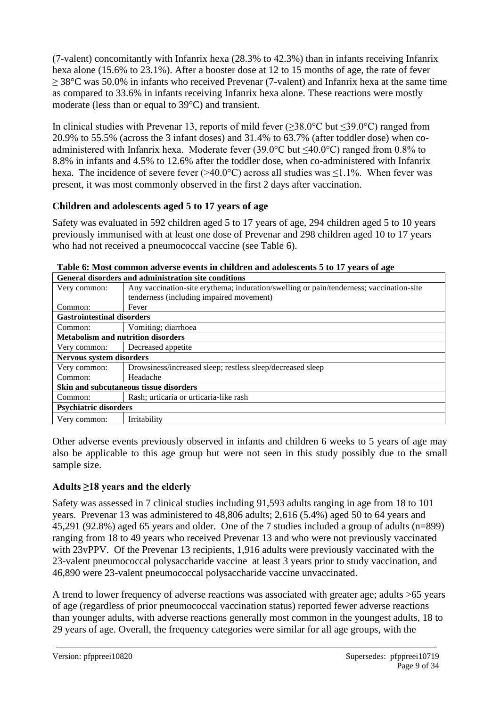(7-valent) concomitantly with Infanrix hexa (28.3% to 42.3%) than in infants receiving Infanrix hexa alone (15.6% to 23.1%). After a booster dose at 12 to 15 months of age, the rate of fever  $\geq$  38°C was 50.0% in infants who received Prevenar (7-valent) and Infanrix hexa at the same time as compared to 33.6% in infants receiving Infanrix hexa alone. These reactions were mostly moderate (less than or equal to 39°C) and transient.

In clinical studies with Prevenar 13, reports of mild fever ( $\geq 38.0^{\circ}$ C but  $\leq 39.0^{\circ}$ C) ranged from 20.9% to 55.5% (across the 3 infant doses) and 31.4% to 63.7% (after toddler dose) when coadministered with Infanrix hexa. Moderate fever (39.0°C but  $\leq$ 40.0°C) ranged from 0.8% to 8.8% in infants and 4.5% to 12.6% after the toddler dose, when co-administered with Infanrix hexa. The incidence of severe fever ( $>40.0$ °C) across all studies was  $\leq$ 1.1%. When fever was present, it was most commonly observed in the first 2 days after vaccination.

# **Children and adolescents aged 5 to 17 years of age**

Safety was evaluated in 592 children aged 5 to 17 years of age, 294 children aged 5 to 10 years previously immunised with at least one dose of Prevenar and 298 children aged 10 to 17 years who had not received a pneumococcal vaccine (see Table 6).

| <b>General disorders and administration site conditions</b> |                                                                                         |  |  |  |  |  |
|-------------------------------------------------------------|-----------------------------------------------------------------------------------------|--|--|--|--|--|
| Very common:                                                | Any vaccination-site erythema; induration/swelling or pain/tenderness; vaccination-site |  |  |  |  |  |
|                                                             | tenderness (including impaired movement)                                                |  |  |  |  |  |
| Common:                                                     | Fever                                                                                   |  |  |  |  |  |
|                                                             | <b>Gastrointestinal disorders</b>                                                       |  |  |  |  |  |
| Common:                                                     | Vomiting; diarrhoea                                                                     |  |  |  |  |  |
|                                                             | <b>Metabolism and nutrition disorders</b>                                               |  |  |  |  |  |
| Very common:                                                | Decreased appetite                                                                      |  |  |  |  |  |
| Nervous system disorders                                    |                                                                                         |  |  |  |  |  |
| Very common:                                                | Drowsiness/increased sleep; restless sleep/decreased sleep                              |  |  |  |  |  |
| Common:                                                     | Headache                                                                                |  |  |  |  |  |
|                                                             | Skin and subcutaneous tissue disorders                                                  |  |  |  |  |  |
| Common:                                                     | Rash; urticaria or urticaria-like rash                                                  |  |  |  |  |  |
| <b>Psychiatric disorders</b>                                |                                                                                         |  |  |  |  |  |
| Very common:                                                | Irritability                                                                            |  |  |  |  |  |

| Table 6: Most common adverse events in children and adolescents 5 to 17 years of age |  |  |  |
|--------------------------------------------------------------------------------------|--|--|--|
|                                                                                      |  |  |  |

Other adverse events previously observed in infants and children 6 weeks to 5 years of age may also be applicable to this age group but were not seen in this study possibly due to the small sample size.

# **Adults ≥18 years and the elderly**

Safety was assessed in 7 clinical studies including 91,593 adults ranging in age from 18 to 101 years. Prevenar 13 was administered to 48,806 adults; 2,616 (5.4%) aged 50 to 64 years and 45,291 (92.8%) aged 65 years and older. One of the 7 studies included a group of adults (n=899) ranging from 18 to 49 years who received Prevenar 13 and who were not previously vaccinated with 23vPPV. Of the Prevenar 13 recipients, 1,916 adults were previously vaccinated with the 23-valent pneumococcal polysaccharide vaccine at least 3 years prior to study vaccination, and 46,890 were 23-valent pneumococcal polysaccharide vaccine unvaccinated.

A trend to lower frequency of adverse reactions was associated with greater age; adults >65 years of age (regardless of prior pneumococcal vaccination status) reported fewer adverse reactions than younger adults, with adverse reactions generally most common in the youngest adults, 18 to 29 years of age. Overall, the frequency categories were similar for all age groups, with the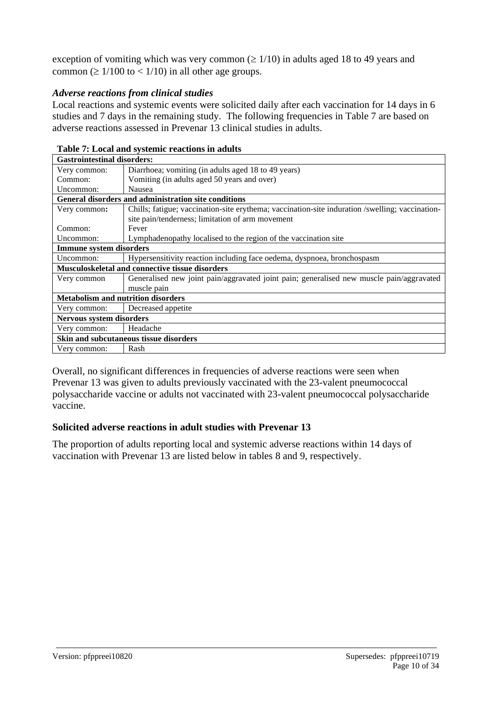exception of vomiting which was very common ( $\geq 1/10$ ) in adults aged 18 to 49 years and common ( $\geq 1/100$  to  $\lt 1/10$ ) in all other age groups.

#### *Adverse reactions from clinical studies*

Local reactions and systemic events were solicited daily after each vaccination for 14 days in 6 studies and 7 days in the remaining study. The following frequencies in Table 7 are based on adverse reactions assessed in Prevenar 13 clinical studies in adults.

| <b>Gastrointestinal disorders:</b>        |                                                                                                 |  |  |  |  |  |  |
|-------------------------------------------|-------------------------------------------------------------------------------------------------|--|--|--|--|--|--|
| Very common:                              | Diarrhoea; vomiting (in adults aged 18 to 49 years)                                             |  |  |  |  |  |  |
| Common:                                   | Vomiting (in adults aged 50 years and over)                                                     |  |  |  |  |  |  |
| Uncommon:                                 | <b>Nausea</b>                                                                                   |  |  |  |  |  |  |
|                                           | General disorders and administration site conditions                                            |  |  |  |  |  |  |
| Very common:                              | Chills; fatigue; vaccination-site erythema; vaccination-site induration /swelling; vaccination- |  |  |  |  |  |  |
|                                           | site pain/tenderness; limitation of arm movement                                                |  |  |  |  |  |  |
| Common:                                   | Fever                                                                                           |  |  |  |  |  |  |
| Uncommon:                                 | Lymphadenopathy localised to the region of the vaccination site                                 |  |  |  |  |  |  |
| <b>Immune system disorders</b>            |                                                                                                 |  |  |  |  |  |  |
| Uncommon:                                 | Hypersensitivity reaction including face oedema, dyspnoea, bronchospasm                         |  |  |  |  |  |  |
|                                           | Musculoskeletal and connective tissue disorders                                                 |  |  |  |  |  |  |
| Very common                               | Generalised new joint pain/aggravated joint pain; generalised new muscle pain/aggravated        |  |  |  |  |  |  |
|                                           | muscle pain                                                                                     |  |  |  |  |  |  |
| <b>Metabolism and nutrition disorders</b> |                                                                                                 |  |  |  |  |  |  |
| Very common:                              | Decreased appetite                                                                              |  |  |  |  |  |  |
| Nervous system disorders                  |                                                                                                 |  |  |  |  |  |  |
| Very common:                              | Headache                                                                                        |  |  |  |  |  |  |
| Skin and subcutaneous tissue disorders    |                                                                                                 |  |  |  |  |  |  |
| Very common:                              | Rash                                                                                            |  |  |  |  |  |  |

#### **Table 7: Local and systemic reactions in adults**

Overall, no significant differences in frequencies of adverse reactions were seen when Prevenar 13 was given to adults previously vaccinated with the 23-valent pneumococcal polysaccharide vaccine or adults not vaccinated with 23-valent pneumococcal polysaccharide vaccine.

## **Solicited adverse reactions in adult studies with Prevenar 13**

The proportion of adults reporting local and systemic adverse reactions within 14 days of vaccination with Prevenar 13 are listed below in tables 8 and 9, respectively.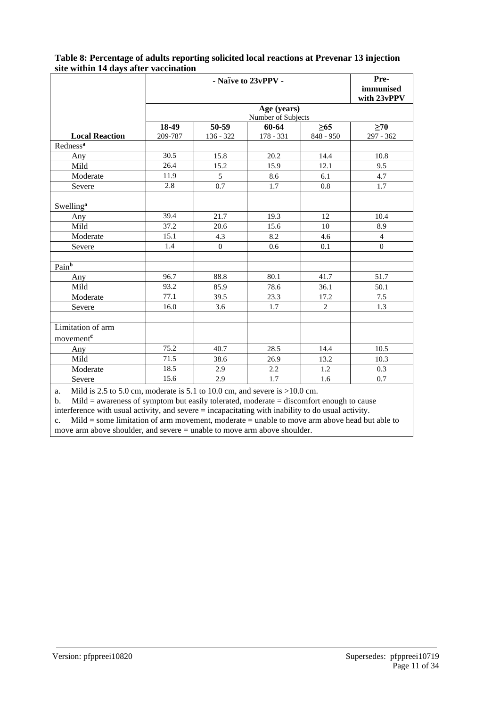|                       | - Naïve to 23vPPV -               |                |           |           | Pre-             |  |  |  |  |
|-----------------------|-----------------------------------|----------------|-----------|-----------|------------------|--|--|--|--|
|                       |                                   |                |           |           | immunised        |  |  |  |  |
|                       |                                   |                |           |           | with 23vPPV      |  |  |  |  |
|                       | Age (years)<br>Number of Subjects |                |           |           |                  |  |  |  |  |
|                       | 18-49                             | 50-59          | 60-64     | $\geq 65$ | $\geq 70$        |  |  |  |  |
| <b>Local Reaction</b> | 209-787                           | 136 - 322      | 178 - 331 | 848 - 950 | 297 - 362        |  |  |  |  |
| Redness <sup>a</sup>  |                                   |                |           |           |                  |  |  |  |  |
| Any                   | 30.5                              | 15.8           | 20.2      | 14.4      | 10.8             |  |  |  |  |
| Mild                  | 26.4                              | 15.2           | 15.9      | 12.1      | 9.5              |  |  |  |  |
| Moderate              | 11.9                              | $\mathfrak{S}$ | 8.6       | 6.1       | 4.7              |  |  |  |  |
| Severe                | 2.8                               | 0.7            | 1.7       | 0.8       | 1.7              |  |  |  |  |
| Swelling <sup>a</sup> |                                   |                |           |           |                  |  |  |  |  |
| Any                   | 39.4                              | 21.7           | 19.3      | 12        | 10.4             |  |  |  |  |
| Mild                  | 37.2                              | 20.6           | 15.6      | 10        | 8.9              |  |  |  |  |
| Moderate              | 15.1                              | 4.3            | 8.2       | 4.6       | $\overline{4}$   |  |  |  |  |
| Severe                | 1.4                               | $\mathbf{0}$   | 0.6       | 0.1       | $\boldsymbol{0}$ |  |  |  |  |
|                       |                                   |                |           |           |                  |  |  |  |  |
| Pain <sup>b</sup>     |                                   |                |           |           |                  |  |  |  |  |
| Any                   | 96.7                              | 88.8           | 80.1      | 41.7      | 51.7             |  |  |  |  |
| Mild                  | 93.2                              | 85.9           | 78.6      | 36.1      | 50.1             |  |  |  |  |
| Moderate              | 77.1                              | 39.5           | 23.3      | 17.2      | 7.5              |  |  |  |  |
| Severe                | 16.0                              | 3.6            | 1.7       | 2         | 1.3              |  |  |  |  |
|                       |                                   |                |           |           |                  |  |  |  |  |
| Limitation of arm     |                                   |                |           |           |                  |  |  |  |  |
| movement <sup>c</sup> |                                   |                |           |           |                  |  |  |  |  |
| Any                   | 75.2                              | 40.7           | 28.5      | 14.4      | 10.5             |  |  |  |  |
| Mild                  | 71.5                              | 38.6           | 26.9      | 13.2      | 10.3             |  |  |  |  |
| Moderate              | 18.5                              | 2.9            | 2.2       | 1.2       | 0.3              |  |  |  |  |
| Severe                | 15.6                              | 2.9            | 1.7       | 1.6       | 0.7              |  |  |  |  |

#### **Table 8: Percentage of adults reporting solicited local reactions at Prevenar 13 injection site within 14 days after vaccination**

a. Mild is 2.5 to 5.0 cm, moderate is 5.1 to 10.0 cm, and severe is  $>10.0$  cm.<br>b. Mild = awareness of symptom but easily tolerated, moderate = discomfort

b. Mild = awareness of symptom but easily tolerated, moderate = discomfort enough to cause

interference with usual activity, and severe = incapacitating with inability to do usual activity. c. Mild = some limitation of arm movement, moderate = unable to move arm above head but able to move arm above shoulder, and severe = unable to move arm above shoulder.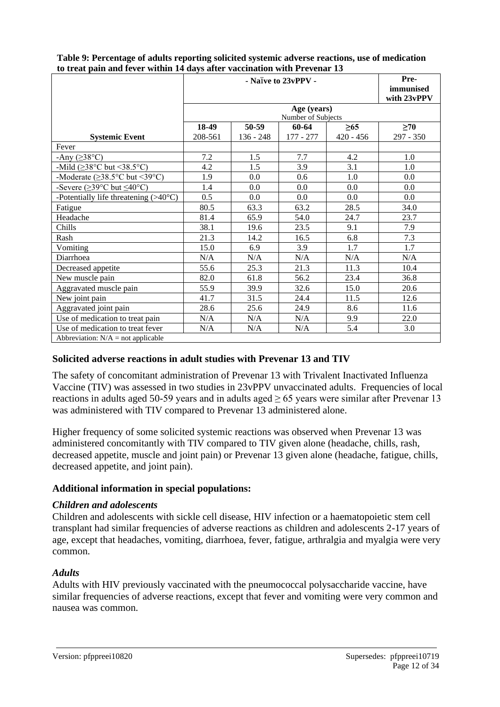|                                                             |         | Pre-<br>immunised<br>with 23vPPV |                             |             |           |
|-------------------------------------------------------------|---------|----------------------------------|-----------------------------|-------------|-----------|
|                                                             |         |                                  | Age (years)                 |             |           |
|                                                             | 18-49   | 50-59                            | Number of Subjects<br>60-64 | $\geq 65$   | >70       |
| <b>Systemic Event</b>                                       | 208-561 | $136 - 248$                      | 177 - 277                   | $420 - 456$ | 297 - 350 |
| Fever                                                       |         |                                  |                             |             |           |
| -Any $( \geq 38^{\circ}C)$                                  | 7.2     | 1.5                              | 7.7                         | 4.2         | 1.0       |
| -Mild ( $\geq$ 38°C but <38.5°C)                            | 4.2     | 1.5                              | 3.9                         | 3.1         | 1.0       |
| -Moderate ( $\geq$ 38.5°C but <39°C)                        | 1.9     | 0.0                              | 0.6                         | 1.0         | 0.0       |
| -Severe ( $\geq$ 39°C but $\leq$ 40°C)                      | 1.4     | 0.0                              | 0.0                         | 0.0         | 0.0       |
| -Potentially life threatening $(>\!\!40^{\circ}\mathrm{C})$ | 0.5     | 0.0                              | 0.0                         | 0.0         | 0.0       |
| Fatigue                                                     | 80.5    | 63.3                             | 63.2                        | 28.5        | 34.0      |
| Headache                                                    | 81.4    | 65.9                             | 54.0                        | 24.7        | 23.7      |
| Chills                                                      | 38.1    | 19.6                             | 23.5                        | 9.1         | 7.9       |
| Rash                                                        | 21.3    | 14.2                             | 16.5                        | 6.8         | 7.3       |
| Vomiting                                                    | 15.0    | 6.9                              | 3.9                         | 1.7         | 1.7       |
| Diarrhoea                                                   | N/A     | N/A                              | N/A                         | N/A         | N/A       |
| Decreased appetite                                          | 55.6    | 25.3                             | 21.3                        | 11.3        | 10.4      |
| New muscle pain                                             | 82.0    | 61.8                             | 56.2                        | 23.4        | 36.8      |
| Aggravated muscle pain                                      | 55.9    | 39.9                             | 32.6                        | 15.0        | 20.6      |
| New joint pain                                              | 41.7    | 31.5                             | 24.4                        | 11.5        | 12.6      |
| Aggravated joint pain                                       | 28.6    | 25.6                             | 24.9                        | 8.6         | 11.6      |
| Use of medication to treat pain                             | N/A     | N/A                              | N/A                         | 9.9         | 22.0      |
| Use of medication to treat fever                            | N/A     | N/A                              | N/A                         | 5.4         | 3.0       |
| Abbreviation: $N/A$ = not applicable                        |         |                                  |                             |             |           |

**Table 9: Percentage of adults reporting solicited systemic adverse reactions, use of medication to treat pain and fever within 14 days after vaccination with Prevenar 13**

#### **Solicited adverse reactions in adult studies with Prevenar 13 and TIV**

The safety of concomitant administration of Prevenar 13 with Trivalent Inactivated Influenza Vaccine (TIV) was assessed in two studies in 23vPPV unvaccinated adults. Frequencies of local reactions in adults aged 50-59 years and in adults aged  $\geq 65$  years were similar after Prevenar 13 was administered with TIV compared to Prevenar 13 administered alone.

Higher frequency of some solicited systemic reactions was observed when Prevenar 13 was administered concomitantly with TIV compared to TIV given alone (headache, chills, rash, decreased appetite, muscle and joint pain) or Prevenar 13 given alone (headache, fatigue, chills, decreased appetite, and joint pain).

#### **Additional information in special populations:**

#### *Children and adolescents*

Children and adolescents with sickle cell disease, HIV infection or a haematopoietic stem cell transplant had similar frequencies of adverse reactions as children and adolescents 2-17 years of age, except that headaches, vomiting, diarrhoea, fever, fatigue, arthralgia and myalgia were very common.

#### *Adults*

Adults with HIV previously vaccinated with the pneumococcal polysaccharide vaccine, have similar frequencies of adverse reactions, except that fever and vomiting were very common and nausea was common.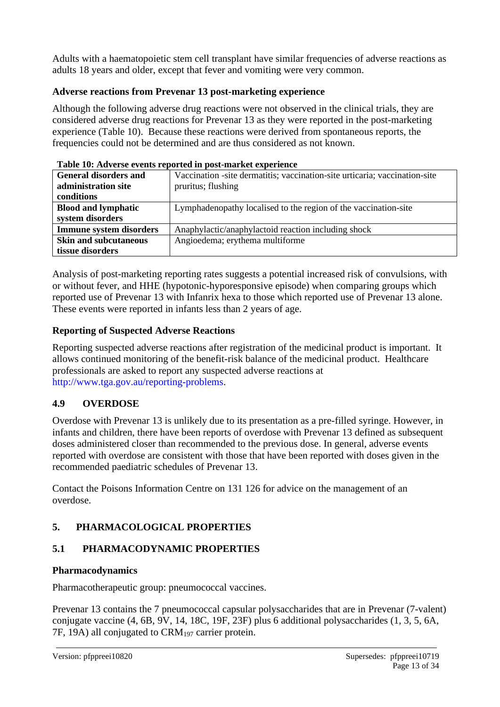Adults with a haematopoietic stem cell transplant have similar frequencies of adverse reactions as adults 18 years and older, except that fever and vomiting were very common.

## **Adverse reactions from Prevenar 13 post-marketing experience**

Although the following adverse drug reactions were not observed in the clinical trials, they are considered adverse drug reactions for Prevenar 13 as they were reported in the post-marketing experience (Table 10). Because these reactions were derived from spontaneous reports, the frequencies could not be determined and are thus considered as not known.

|                                | Table To. Auverse events reported in post-market experience                |
|--------------------------------|----------------------------------------------------------------------------|
| <b>General disorders and</b>   | Vaccination -site dermatitis; vaccination-site urticaria; vaccination-site |
| administration site            | pruritus; flushing                                                         |
| conditions                     |                                                                            |
| <b>Blood and lymphatic</b>     | Lymphadenopathy localised to the region of the vaccination-site            |
| system disorders               |                                                                            |
| <b>Immune system disorders</b> | Anaphylactic/anaphylactoid reaction including shock                        |
| <b>Skin and subcutaneous</b>   | Angioedema; erythema multiforme                                            |
| tissue disorders               |                                                                            |

#### **Table 10: Adverse events reported in post-market experience**

Analysis of post-marketing reporting rates suggests a potential increased risk of convulsions, with or without fever, and HHE (hypotonic-hyporesponsive episode) when comparing groups which reported use of Prevenar 13 with Infanrix hexa to those which reported use of Prevenar 13 alone. These events were reported in infants less than 2 years of age.

# **Reporting of Suspected Adverse Reactions**

Reporting suspected adverse reactions after registration of the medicinal product is important. It allows continued monitoring of the benefit-risk balance of the medicinal product. Healthcare professionals are asked to report any suspected adverse reactions at [http://www.tga.gov.au/reporting-problems.](http://www.tga.gov.au/reporting-problems)

# **4.9 OVERDOSE**

Overdose with Prevenar 13 is unlikely due to its presentation as a pre-filled syringe. However, in infants and children, there have been reports of overdose with Prevenar 13 defined as subsequent doses administered closer than recommended to the previous dose. In general, adverse events reported with overdose are consistent with those that have been reported with doses given in the recommended paediatric schedules of Prevenar 13.

Contact the Poisons Information Centre on 131 126 for advice on the management of an overdose.

# **5. PHARMACOLOGICAL PROPERTIES**

# **5.1 PHARMACODYNAMIC PROPERTIES**

# **Pharmacodynamics**

Pharmacotherapeutic group: pneumococcal vaccines.

Prevenar 13 contains the 7 pneumococcal capsular polysaccharides that are in Prevenar (7-valent) conjugate vaccine (4, 6B, 9V, 14, 18C, 19F, 23F) plus 6 additional polysaccharides (1, 3, 5, 6A, 7F, 19A) all conjugated to  $\text{CRM}_{197}$  carrier protein.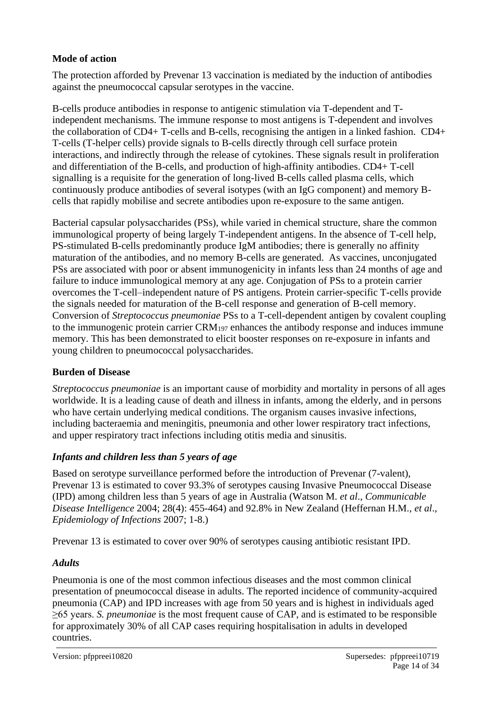## **Mode of action**

The protection afforded by Prevenar 13 vaccination is mediated by the induction of antibodies against the pneumococcal capsular serotypes in the vaccine.

B-cells produce antibodies in response to antigenic stimulation via T-dependent and Tindependent mechanisms. The immune response to most antigens is T-dependent and involves the collaboration of CD4+ T-cells and B-cells, recognising the antigen in a linked fashion. CD4+ T-cells (T-helper cells) provide signals to B-cells directly through cell surface protein interactions, and indirectly through the release of cytokines. These signals result in proliferation and differentiation of the B-cells, and production of high-affinity antibodies. CD4+ T-cell signalling is a requisite for the generation of long-lived B-cells called plasma cells, which continuously produce antibodies of several isotypes (with an IgG component) and memory Bcells that rapidly mobilise and secrete antibodies upon re-exposure to the same antigen.

Bacterial capsular polysaccharides (PSs), while varied in chemical structure, share the common immunological property of being largely T-independent antigens. In the absence of T-cell help, PS-stimulated B-cells predominantly produce IgM antibodies; there is generally no affinity maturation of the antibodies, and no memory B-cells are generated. As vaccines, unconjugated PSs are associated with poor or absent immunogenicity in infants less than 24 months of age and failure to induce immunological memory at any age. Conjugation of PSs to a protein carrier overcomes the T-cell–independent nature of PS antigens. Protein carrier-specific T-cells provide the signals needed for maturation of the B-cell response and generation of B-cell memory. Conversion of *Streptococcus pneumoniae* PSs to a T-cell-dependent antigen by covalent coupling to the immunogenic protein carrier CRM<sup>197</sup> enhances the antibody response and induces immune memory. This has been demonstrated to elicit booster responses on re-exposure in infants and young children to pneumococcal polysaccharides.

# **Burden of Disease**

*Streptococcus pneumoniae* is an important cause of morbidity and mortality in persons of all ages worldwide. It is a leading cause of death and illness in infants, among the elderly, and in persons who have certain underlying medical conditions. The organism causes invasive infections, including bacteraemia and meningitis, pneumonia and other lower respiratory tract infections, and upper respiratory tract infections including otitis media and sinusitis.

# *Infants and children less than 5 years of age*

Based on serotype surveillance performed before the introduction of Prevenar (7-valent), Prevenar 13 is estimated to cover 93.3% of serotypes causing Invasive Pneumococcal Disease (IPD) among children less than 5 years of age in Australia (Watson M. *et al*., *Communicable Disease Intelligence* 2004; 28(4): 455-464) and 92.8% in New Zealand (Heffernan H.M., *et al*., *Epidemiology of Infections* 2007; 1-8.)

Prevenar 13 is estimated to cover over 90% of serotypes causing antibiotic resistant IPD.

## *Adults*

Pneumonia is one of the most common infectious diseases and the most common clinical presentation of pneumococcal disease in adults. The reported incidence of community-acquired pneumonia (CAP) and IPD increases with age from 50 years and is highest in individuals aged ≥65 years. *S. pneumoniae* is the most frequent cause of CAP, and is estimated to be responsible for approximately 30% of all CAP cases requiring hospitalisation in adults in developed countries.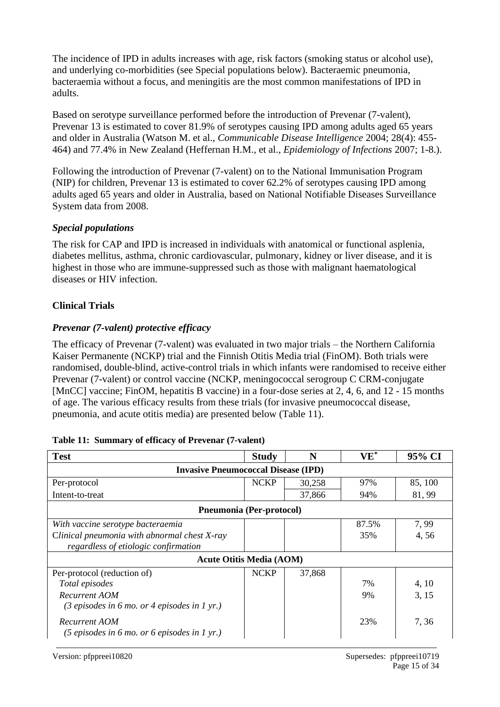The incidence of IPD in adults increases with age, risk factors (smoking status or alcohol use), and underlying co-morbidities (see Special populations below). Bacteraemic pneumonia, bacteraemia without a focus, and meningitis are the most common manifestations of IPD in adults.

Based on serotype surveillance performed before the introduction of Prevenar (7-valent), Prevenar 13 is estimated to cover 81.9% of serotypes causing IPD among adults aged 65 years and older in Australia (Watson M. et al., *Communicable Disease Intelligence* 2004; 28(4): 455- 464) and 77.4% in New Zealand (Heffernan H.M., et al., *Epidemiology of Infections* 2007; 1-8.).

Following the introduction of Prevenar (7-valent) on to the National Immunisation Program (NIP) for children, Prevenar 13 is estimated to cover 62.2% of serotypes causing IPD among adults aged 65 years and older in Australia, based on National Notifiable Diseases Surveillance System data from 2008.

#### *Special populations*

The risk for CAP and IPD is increased in individuals with anatomical or functional asplenia, diabetes mellitus, asthma, chronic cardiovascular, pulmonary, kidney or liver disease, and it is highest in those who are immune-suppressed such as those with malignant haematological diseases or HIV infection.

## **Clinical Trials**

## *Prevenar (7-valent) protective efficacy*

The efficacy of Prevenar (7-valent) was evaluated in two major trials – the Northern California Kaiser Permanente (NCKP) trial and the Finnish Otitis Media trial (FinOM). Both trials were randomised, double-blind, active-control trials in which infants were randomised to receive either Prevenar (7-valent) or control vaccine (NCKP, meningococcal serogroup C CRM-conjugate [MnCC] vaccine; FinOM, hepatitis B vaccine) in a four-dose series at 2, 4, 6, and 12 - 15 months of age. The various efficacy results from these trials (for invasive pneumococcal disease, pneumonia, and acute otitis media) are presented below (Table 11).

| <b>Test</b>                                                                       | <b>Study</b> | N      | $\mathbf{VE}^*$ | 95% CI  |  |  |  |  |  |
|-----------------------------------------------------------------------------------|--------------|--------|-----------------|---------|--|--|--|--|--|
| <b>Invasive Pneumococcal Disease (IPD)</b>                                        |              |        |                 |         |  |  |  |  |  |
| Per-protocol                                                                      | <b>NCKP</b>  | 30,258 | 97%             | 85, 100 |  |  |  |  |  |
| Intent-to-treat                                                                   |              | 37,866 | 94%             | 81, 99  |  |  |  |  |  |
| Pneumonia (Per-protocol)                                                          |              |        |                 |         |  |  |  |  |  |
| With vaccine serotype bacteraemia                                                 |              |        | 87.5%           | 7,99    |  |  |  |  |  |
| Clinical pneumonia with abnormal chest X-ray                                      |              |        | 35%             | 4,56    |  |  |  |  |  |
| regardless of etiologic confirmation                                              |              |        |                 |         |  |  |  |  |  |
| <b>Acute Otitis Media (AOM)</b>                                                   |              |        |                 |         |  |  |  |  |  |
| Per-protocol (reduction of)                                                       | <b>NCKP</b>  | 37,868 |                 |         |  |  |  |  |  |
| Total episodes                                                                    |              |        | 7%              | 4, 10   |  |  |  |  |  |
| Recurrent AOM                                                                     |              |        | 9%              | 3, 15   |  |  |  |  |  |
| $(3 \text{ episodes in } 6 \text{ mo. or } 4 \text{ episodes in } 1 \text{ yr.})$ |              |        |                 |         |  |  |  |  |  |
| Recurrent AOM                                                                     |              |        | 23%             | 7, 36   |  |  |  |  |  |
| $(5 \text{ episodes in } 6 \text{ mo. or } 6 \text{ episodes in } 1 \text{ yr.})$ |              |        |                 |         |  |  |  |  |  |

## **Table 11: Summary of efficacy of Prevenar (7-valent)**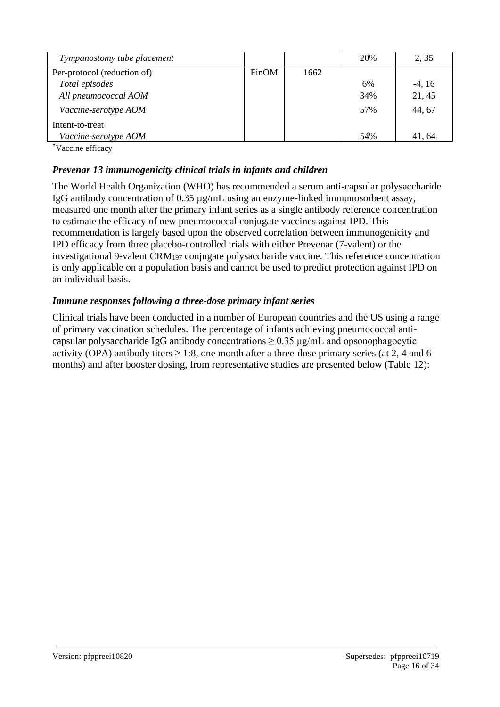| Tympanostomy tube placement |       |      | 20% | 2, 35    |
|-----------------------------|-------|------|-----|----------|
| Per-protocol (reduction of) | FinOM | 1662 |     |          |
| Total episodes              |       |      | 6%  | $-4, 16$ |
| All pneumococcal AOM        |       |      | 34% | 21, 45   |
| Vaccine-serotype AOM        |       |      | 57% | 44, 67   |
| Intent-to-treat             |       |      |     |          |
| Vaccine-serotype AOM        |       |      | 54% | 41.64    |

**\***Vaccine efficacy

## *Prevenar 13 immunogenicity clinical trials in infants and children*

The World Health Organization (WHO) has recommended a serum anti-capsular polysaccharide IgG antibody concentration of 0.35 µg/mL using an enzyme-linked immunosorbent assay, measured one month after the primary infant series as a single antibody reference concentration to estimate the efficacy of new pneumococcal conjugate vaccines against IPD. This recommendation is largely based upon the observed correlation between immunogenicity and IPD efficacy from three placebo-controlled trials with either Prevenar (7-valent) or the investigational 9-valent CRM<sup>197</sup> conjugate polysaccharide vaccine. This reference concentration is only applicable on a population basis and cannot be used to predict protection against IPD on an individual basis.

## *Immune responses following a three-dose primary infant series*

Clinical trials have been conducted in a number of European countries and the US using a range of primary vaccination schedules. The percentage of infants achieving pneumococcal anticapsular polysaccharide IgG antibody concentrations  $\geq 0.35 \mu g/mL$  and opsonophagocytic activity (OPA) antibody titers  $\geq 1:8$ , one month after a three-dose primary series (at 2, 4 and 6 months) and after booster dosing, from representative studies are presented below (Table 12):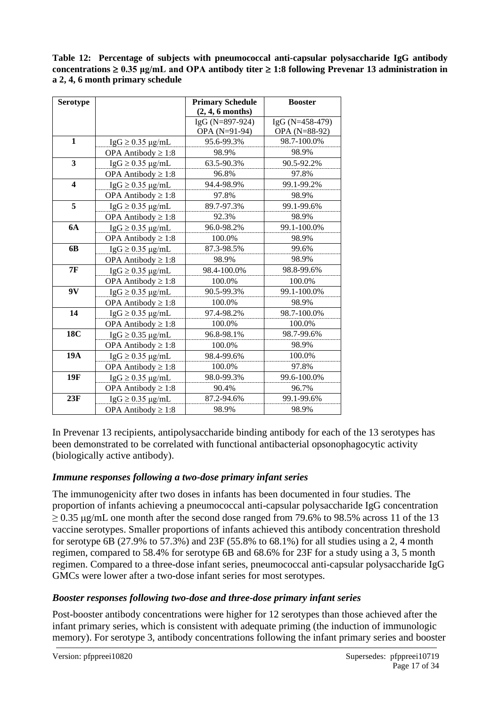**Table 12: Percentage of subjects with pneumococcal anti-capsular polysaccharide IgG antibody concentrations**  $\geq$  **0.35 μg/mL and OPA antibody titer**  $\geq$  **1:8 following Prevenar 13 administration in a 2, 4, 6 month primary schedule**

| <b>Serotype</b>         |                                      | <b>Primary Schedule</b> | <b>Booster</b>  |
|-------------------------|--------------------------------------|-------------------------|-----------------|
|                         |                                      | $(2, 4, 6$ months)      |                 |
|                         |                                      | IgG (N=897-924)         | IgG (N=458-479) |
|                         |                                      | OPA (N=91-94)           | OPA (N=88-92)   |
| $\mathbf{1}$            | $\text{IgG} \geq 0.35 \text{ µg/mL}$ | 95.6-99.3%              | 98.7-100.0%     |
|                         | OPA Antibody $\geq 1:8$              | 98.9%                   | 98.9%           |
| 3                       | $\text{IgG} \geq 0.35 \text{ µg/mL}$ | 63.5-90.3%              | 90.5-92.2%      |
|                         | OPA Antibody $\geq 1:8$              | 96.8%                   | 97.8%           |
| $\overline{\mathbf{4}}$ | $\text{IgG} \geq 0.35 \text{ µg/mL}$ | 94.4-98.9%              | 99.1-99.2%      |
|                         | OPA Antibody $\geq 1:8$              | 97.8%                   | 98.9%           |
| 5                       | $\text{IgG} \geq 0.35 \text{ µg/mL}$ | 89.7-97.3%              | 99.1-99.6%      |
|                         | OPA Antibody $\geq 1:8$              | 92.3%                   | 98.9%           |
| <b>6A</b>               | $\text{IgG} \geq 0.35 \text{ µg/mL}$ | 96.0-98.2%              | 99.1-100.0%     |
|                         | OPA Antibody $\geq 1:8$              | 100.0%                  | 98.9%           |
| 6 <b>B</b>              | $IgG \ge 0.35 \mu g/mL$              | 87.3-98.5%              | 99.6%           |
|                         | OPA Antibody $\geq 1:8$              | 98.9%                   | 98.9%           |
| <b>7F</b>               | $IgG \ge 0.35 \mu g/mL$              | 98.4-100.0%             | 98.8-99.6%      |
|                         | OPA Antibody $\geq 1:8$              | 100.0%                  | 100.0%          |
| 9V                      | $\text{IgG} \geq 0.35 \text{ µg/mL}$ | 90.5-99.3%              | 99.1-100.0%     |
|                         | OPA Antibody $\geq 1:8$              | 100.0%                  | 98.9%           |
| 14                      | $IgG \geq 0.35 \mu g/mL$             | 97.4-98.2%              | 98.7-100.0%     |
|                         | OPA Antibody $\geq 1:8$              | 100.0%                  | 100.0%          |
| <b>18C</b>              | $\text{IgG} \geq 0.35 \text{ µg/mL}$ | 96.8-98.1%              | 98.7-99.6%      |
|                         | OPA Antibody $\geq 1:8$              | 100.0%                  | 98.9%           |
| <b>19A</b>              | $IgG \geq 0.35 \mu g/mL$             | 98.4-99.6%              | 100.0%          |
|                         | OPA Antibody $\geq 1:8$              | 100.0%                  | 97.8%           |
| 19F                     | $IgG \geq 0.35 \mu g/mL$             | 98.0-99.3%              | 99.6-100.0%     |
|                         | OPA Antibody $\geq 1:8$              | 90.4%                   | 96.7%           |
| 23F                     | $IgG \geq 0.35 \mu g/mL$             | 87.2-94.6%              | 99.1-99.6%      |
|                         | OPA Antibody $\geq 1:8$              | 98.9%                   | 98.9%           |

In Prevenar 13 recipients, antipolysaccharide binding antibody for each of the 13 serotypes has been demonstrated to be correlated with functional antibacterial opsonophagocytic activity (biologically active antibody).

## *Immune responses following a two-dose primary infant series*

The immunogenicity after two doses in infants has been documented in four studies. The proportion of infants achieving a pneumococcal anti-capsular polysaccharide IgG concentration  $\geq$  0.35 µg/mL one month after the second dose ranged from 79.6% to 98.5% across 11 of the 13 vaccine serotypes. Smaller proportions of infants achieved this antibody concentration threshold for serotype 6B (27.9% to 57.3%) and 23F (55.8% to 68.1%) for all studies using a 2, 4 month regimen, compared to 58.4% for serotype 6B and 68.6% for 23F for a study using a 3, 5 month regimen. Compared to a three-dose infant series, pneumococcal anti-capsular polysaccharide IgG GMCs were lower after a two-dose infant series for most serotypes.

## *Booster responses following two-dose and three-dose primary infant series*

Post-booster antibody concentrations were higher for 12 serotypes than those achieved after the infant primary series, which is consistent with adequate priming (the induction of immunologic memory). For serotype 3, antibody concentrations following the infant primary series and booster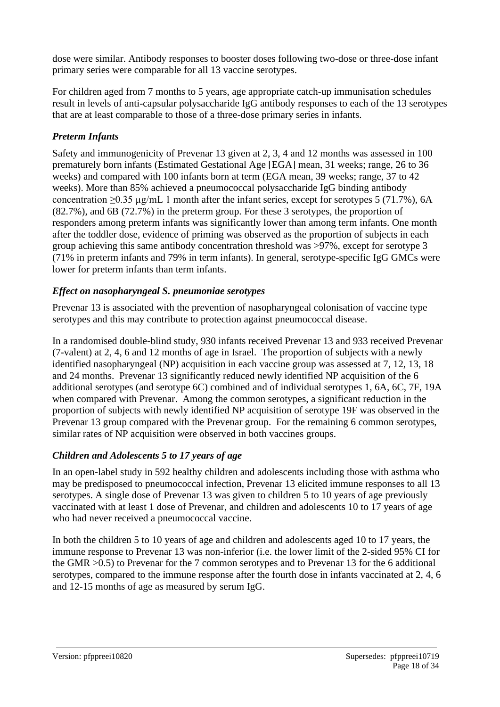dose were similar. Antibody responses to booster doses following two-dose or three-dose infant primary series were comparable for all 13 vaccine serotypes.

For children aged from 7 months to 5 years, age appropriate catch-up immunisation schedules result in levels of anti-capsular polysaccharide IgG antibody responses to each of the 13 serotypes that are at least comparable to those of a three-dose primary series in infants.

# *Preterm Infants*

Safety and immunogenicity of Prevenar 13 given at 2, 3, 4 and 12 months was assessed in 100 prematurely born infants (Estimated Gestational Age [EGA] mean, 31 weeks; range, 26 to 36 weeks) and compared with 100 infants born at term (EGA mean, 39 weeks; range, 37 to 42 weeks). More than 85% achieved a pneumococcal polysaccharide IgG binding antibody concentration ≥0.35 µg/mL 1 month after the infant series, except for serotypes 5 (71.7%), 6A (82.7%), and 6B (72.7%) in the preterm group. For these 3 serotypes, the proportion of responders among preterm infants was significantly lower than among term infants. One month after the toddler dose, evidence of priming was observed as the proportion of subjects in each group achieving this same antibody concentration threshold was >97%, except for serotype 3 (71% in preterm infants and 79% in term infants). In general, serotype-specific IgG GMCs were lower for preterm infants than term infants.

# *Effect on nasopharyngeal S. pneumoniae serotypes*

Prevenar 13 is associated with the prevention of nasopharyngeal colonisation of vaccine type serotypes and this may contribute to protection against pneumococcal disease.

In a randomised double-blind study, 930 infants received Prevenar 13 and 933 received Prevenar (7-valent) at 2, 4, 6 and 12 months of age in Israel. The proportion of subjects with a newly identified nasopharyngeal (NP) acquisition in each vaccine group was assessed at 7, 12, 13, 18 and 24 months. Prevenar 13 significantly reduced newly identified NP acquisition of the 6 additional serotypes (and serotype 6C) combined and of individual serotypes 1, 6A, 6C, 7F, 19A when compared with Prevenar. Among the common serotypes, a significant reduction in the proportion of subjects with newly identified NP acquisition of serotype 19F was observed in the Prevenar 13 group compared with the Prevenar group. For the remaining 6 common serotypes, similar rates of NP acquisition were observed in both vaccines groups.

# *Children and Adolescents 5 to 17 years of age*

In an open-label study in 592 healthy children and adolescents including those with asthma who may be predisposed to pneumococcal infection, Prevenar 13 elicited immune responses to all 13 serotypes. A single dose of Prevenar 13 was given to children 5 to 10 years of age previously vaccinated with at least 1 dose of Prevenar, and children and adolescents 10 to 17 years of age who had never received a pneumococcal vaccine.

In both the children 5 to 10 years of age and children and adolescents aged 10 to 17 years, the immune response to Prevenar 13 was non-inferior (i.e. the lower limit of the 2-sided 95% CI for the GMR >0.5) to Prevenar for the 7 common serotypes and to Prevenar 13 for the 6 additional serotypes, compared to the immune response after the fourth dose in infants vaccinated at 2, 4, 6 and 12-15 months of age as measured by serum IgG.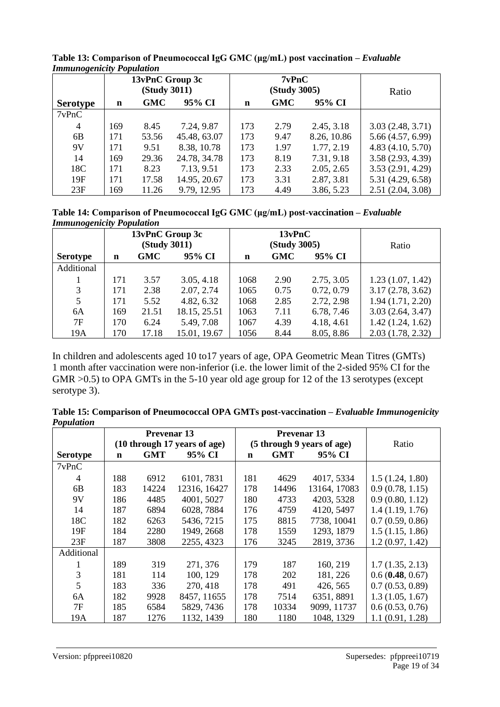|                 |     | 13vPnC Group 3c<br><b>(Study 3011)</b> |              | 7vPnC<br><b>(Study 3005)</b> |            | Ratio       |                   |
|-----------------|-----|----------------------------------------|--------------|------------------------------|------------|-------------|-------------------|
| <b>Serotype</b> | n   | GMC                                    | 95% CI       | n                            | <b>GMC</b> | 95% CI      |                   |
| 7vPnC           |     |                                        |              |                              |            |             |                   |
| $\overline{4}$  | 169 | 8.45                                   | 7.24, 9.87   | 173                          | 2.79       | 2.45, 3.18  | 3.03(2.48, 3.71)  |
| 6B              | 171 | 53.56                                  | 45.48, 63.07 | 173                          | 9.47       | 8.26, 10.86 | 5.66 (4.57, 6.99) |
| 9V              | 171 | 9.51                                   | 8.38, 10.78  | 173                          | 1.97       | 1.77, 2.19  | 4.83(4.10, 5.70)  |
| 14              | 169 | 29.36                                  | 24.78, 34.78 | 173                          | 8.19       | 7.31, 9.18  | 3.58(2.93, 4.39)  |
| 18C             | 171 | 8.23                                   | 7.13, 9.51   | 173                          | 2.33       | 2.05, 2.65  | 3.53(2.91, 4.29)  |
| 19F             | 171 | 17.58                                  | 14.95, 20.67 | 173                          | 3.31       | 2.87, 3.81  | 5.31 (4.29, 6.58) |
| 23F             | 169 | 11.26                                  | 9.79, 12.95  | 173                          | 4.49       | 3.86, 5.23  | 2.51(2.04, 3.08)  |

**Table 13: Comparison of Pneumococcal IgG GMC (μg/mL) post vaccination –** *Evaluable Immunogenicity Population*

**Table 14: Comparison of Pneumococcal IgG GMC (μg/mL) post-vaccination –** *Evaluable Immunogenicity Population*

| ັ               |     | 13vPnC Group 3c<br><b>(Study 3011)</b> |              | 13vPnC<br><b>(Study 3005)</b> |            |            | Ratio            |
|-----------------|-----|----------------------------------------|--------------|-------------------------------|------------|------------|------------------|
| <b>Serotype</b> | n   | <b>GMC</b>                             | 95% CI       | $\mathbf n$                   | <b>GMC</b> | 95% CI     |                  |
| Additional      |     |                                        |              |                               |            |            |                  |
|                 | 171 | 3.57                                   | 3.05, 4.18   | 1068                          | 2.90       | 2.75, 3.05 | 1.23(1.07, 1.42) |
| 3               | 171 | 2.38                                   | 2.07, 2.74   | 1065                          | 0.75       | 0.72, 0.79 | 3.17(2.78, 3.62) |
| 5               | 171 | 5.52                                   | 4.82, 6.32   | 1068                          | 2.85       | 2.72, 2.98 | 1.94(1.71, 2.20) |
| 6A              | 169 | 21.51                                  | 18.15, 25.51 | 1063                          | 7.11       | 6.78, 7.46 | 3.03(2.64, 3.47) |
| 7F              | 170 | 6.24                                   | 5.49, 7.08   | 1067                          | 4.39       | 4.18, 4.61 | 1.42(1.24, 1.62) |
| 19A             | 170 | 17.18                                  | 15.01, 19.67 | 1056                          | 8.44       | 8.05, 8.86 | 2.03(1.78, 2.32) |

In children and adolescents aged 10 to17 years of age, OPA Geometric Mean Titres (GMTs) 1 month after vaccination were non-inferior (i.e. the lower limit of the 2-sided 95% CI for the GMR  $>0.5$ ) to OPA GMTs in the 5-10 year old age group for 12 of the 13 serotypes (except serotype 3).

**Table 15: Comparison of Pneumococcal OPA GMTs post-vaccination –** *Evaluable Immunogenicity Population*

| <b>Prevenar</b> 13 |             |            |                              | <b>Prevenar</b> 13         |       |              |                 |
|--------------------|-------------|------------|------------------------------|----------------------------|-------|--------------|-----------------|
|                    |             |            | (10 through 17 years of age) | (5 through 9 years of age) |       |              | Ratio           |
| <b>Serotype</b>    | $\mathbf n$ | <b>GMT</b> | 95% CI                       | $\mathbf n$                | GMT   | 95% CI       |                 |
| 7vPnC              |             |            |                              |                            |       |              |                 |
| 4                  | 188         | 6912       | 6101, 7831                   | 181                        | 4629  | 4017, 5334   | 1.5(1.24, 1.80) |
| 6 <sub>B</sub>     | 183         | 14224      | 12316, 16427                 | 178                        | 14496 | 13164, 17083 | 0.9(0.78, 1.15) |
| 9V                 | 186         | 4485       | 4001, 5027                   | 180                        | 4733  | 4203, 5328   | 0.9(0.80, 1.12) |
| 14                 | 187         | 6894       | 6028, 7884                   | 176                        | 4759  | 4120, 5497   | 1.4(1.19, 1.76) |
| 18C                | 182         | 6263       | 5436, 7215                   | 175                        | 8815  | 7738, 10041  | 0.7(0.59, 0.86) |
| 19F                | 184         | 2280       | 1949, 2668                   | 178                        | 1559  | 1293, 1879   | 1.5(1.15, 1.86) |
| 23F                | 187         | 3808       | 2255, 4323                   | 176                        | 3245  | 2819, 3736   | 1.2(0.97, 1.42) |
| Additional         |             |            |                              |                            |       |              |                 |
| л.                 | 189         | 319        | 271, 376                     | 179                        | 187   | 160, 219     | 1.7(1.35, 2.13) |
| 3                  | 181         | 114        | 100, 129                     | 178                        | 202   | 181, 226     | 0.6(0.48, 0.67) |
| 5                  | 183         | 336        | 270, 418                     | 178                        | 491   | 426, 565     | 0.7(0.53, 0.89) |
| 6A                 | 182         | 9928       | 8457, 11655                  | 178                        | 7514  | 6351, 8891   | 1.3(1.05, 1.67) |
| 7F                 | 185         | 6584       | 5829, 7436                   | 178                        | 10334 | 9099, 11737  | 0.6(0.53, 0.76) |
| 19A                | 187         | 1276       | 1132, 1439                   | 180                        | 1180  | 1048, 1329   | 1.1(0.91, 1.28) |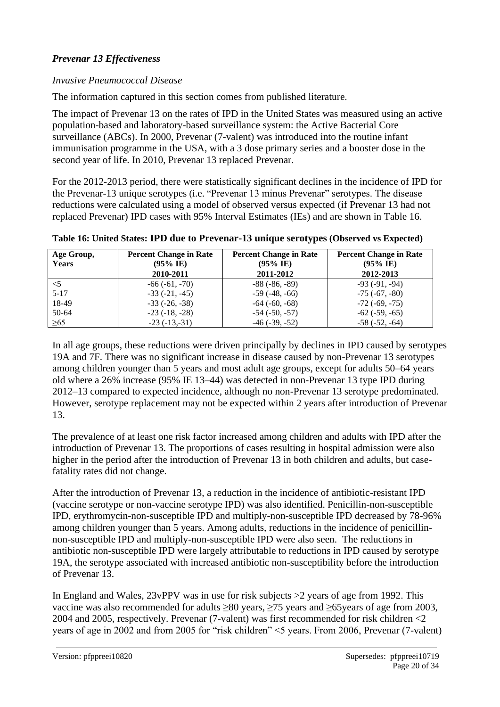# *Prevenar 13 Effectiveness*

#### *Invasive Pneumococcal Disease*

The information captured in this section comes from published literature.

The impact of Prevenar 13 on the rates of IPD in the United States was measured using an active population-based and laboratory-based surveillance system: the Active Bacterial Core surveillance (ABCs). In 2000, Prevenar (7-valent) was introduced into the routine infant immunisation programme in the USA, with a 3 dose primary series and a booster dose in the second year of life. In 2010, Prevenar 13 replaced Prevenar.

For the 2012-2013 period, there were statistically significant declines in the incidence of IPD for the Prevenar-13 unique serotypes (i.e. "Prevenar 13 minus Prevenar" serotypes. The disease reductions were calculated using a model of observed versus expected (if Prevenar 13 had not replaced Prevenar) IPD cases with 95% Interval Estimates (IEs) and are shown in Table 16.

| Age Group,<br><b>Years</b> | <b>Percent Change in Rate</b><br>$(95\% \text{ IE})$<br>2010-2011 | <b>Percent Change in Rate</b><br>$(95\% \text{ IE})$<br>2011-2012 | <b>Percent Change in Rate</b><br>$(95\% \text{ IE})$<br>2012-2013 |
|----------------------------|-------------------------------------------------------------------|-------------------------------------------------------------------|-------------------------------------------------------------------|
| $<$ 5                      | $-66(-61,-70)$                                                    | $-88(-86,-89)$                                                    | $-93(-91, -94)$                                                   |
| $5 - 17$                   | $-33(-21, -45)$                                                   | $-59(-48,-66)$                                                    | $-75$ ( $-67, -80$ )                                              |
| 18-49                      | $-33(-26, -38)$                                                   | $-64$ $(-60, -68)$                                                | $-72$ $(-69, -75)$                                                |
| $50-64$                    | $-23(-18, -28)$                                                   | $-54$ $(-50, -57)$                                                | $-62$ ( $-59, -65$ )                                              |
| $\geq 65$                  | $-23(-13,-31)$                                                    | $-46$ $(-39, -52)$                                                | $-58(-52, -64)$                                                   |

**Table 16: United States: IPD due to Prevenar-13 unique serotypes (Observed vs Expected)**

In all age groups, these reductions were driven principally by declines in IPD caused by serotypes 19A and 7F. There was no significant increase in disease caused by non-Prevenar 13 serotypes among children younger than 5 years and most adult age groups, except for adults 50–64 years old where a 26% increase (95% IE 13–44) was detected in non-Prevenar 13 type IPD during 2012–13 compared to expected incidence, although no non-Prevenar 13 serotype predominated. However, serotype replacement may not be expected within 2 years after introduction of Prevenar 13.

The prevalence of at least one risk factor increased among children and adults with IPD after the introduction of Prevenar 13. The proportions of cases resulting in hospital admission were also higher in the period after the introduction of Prevenar 13 in both children and adults, but casefatality rates did not change.

After the introduction of Prevenar 13, a reduction in the incidence of antibiotic-resistant IPD (vaccine serotype or non-vaccine serotype IPD) was also identified. Penicillin-non-susceptible IPD, erythromycin-non-susceptible IPD and multiply-non-susceptible IPD decreased by 78-96% among children younger than 5 years. Among adults, reductions in the incidence of penicillinnon-susceptible IPD and multiply-non-susceptible IPD were also seen. The reductions in antibiotic non-susceptible IPD were largely attributable to reductions in IPD caused by serotype 19A, the serotype associated with increased antibiotic non-susceptibility before the introduction of Prevenar 13.

In England and Wales, 23vPPV was in use for risk subjects >2 years of age from 1992. This vaccine was also recommended for adults ≥80 years, ≥75 years and ≥65years of age from 2003, 2004 and 2005, respectively. Prevenar (7-valent) was first recommended for risk children <2 years of age in 2002 and from 2005 for "risk children" <5 years. From 2006, Prevenar (7-valent)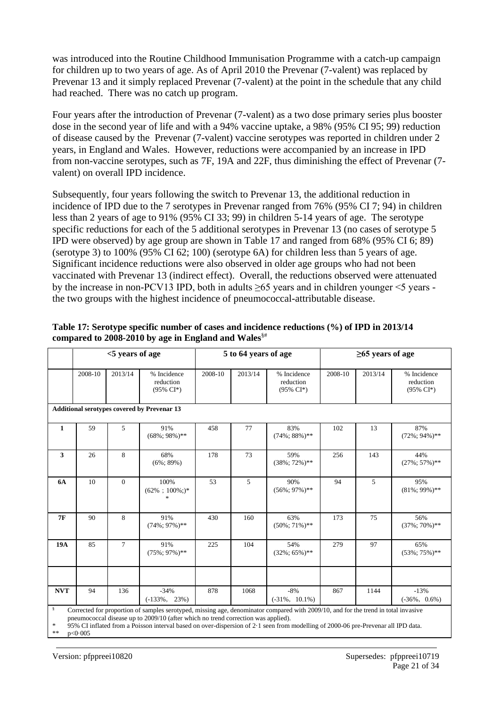was introduced into the Routine Childhood Immunisation Programme with a catch-up campaign for children up to two years of age. As of April 2010 the Prevenar (7-valent) was replaced by Prevenar 13 and it simply replaced Prevenar (7-valent) at the point in the schedule that any child had reached. There was no catch up program.

Four years after the introduction of Prevenar (7-valent) as a two dose primary series plus booster dose in the second year of life and with a 94% vaccine uptake, a 98% (95% CI 95; 99) reduction of disease caused by the Prevenar (7-valent) vaccine serotypes was reported in children under 2 years, in England and Wales. However, reductions were accompanied by an increase in IPD from non-vaccine serotypes, such as 7F, 19A and 22F, thus diminishing the effect of Prevenar (7 valent) on overall IPD incidence.

Subsequently, four years following the switch to Prevenar 13, the additional reduction in incidence of IPD due to the 7 serotypes in Prevenar ranged from 76% (95% CI 7; 94) in children less than 2 years of age to 91% (95% CI 33; 99) in children 5-14 years of age. The serotype specific reductions for each of the 5 additional serotypes in Prevenar 13 (no cases of serotype 5 IPD were observed) by age group are shown in Table 17 and ranged from 68% (95% CI 6; 89) (serotype 3) to 100% (95% CI 62; 100) (serotype 6A) for children less than 5 years of age. Significant incidence reductions were also observed in older age groups who had not been vaccinated with Prevenar 13 (indirect effect). Overall, the reductions observed were attenuated by the increase in non-PCV13 IPD, both in adults  $\geq 65$  years and in children younger  $\leq 5$  years the two groups with the highest incidence of pneumococcal-attributable disease.

|                        |                                                                                                                                                                                                                                                                                                                                                                           | <5 years of age |                                                    |         | 5 to 64 years of age |                                                  | $\geq$ 65 years of age |         |                                                  |
|------------------------|---------------------------------------------------------------------------------------------------------------------------------------------------------------------------------------------------------------------------------------------------------------------------------------------------------------------------------------------------------------------------|-----------------|----------------------------------------------------|---------|----------------------|--------------------------------------------------|------------------------|---------|--------------------------------------------------|
|                        | 2008-10                                                                                                                                                                                                                                                                                                                                                                   | 2013/14         | % Incidence<br>reduction<br>$(95\% \text{ CI*})$   | 2008-10 | 2013/14              | % Incidence<br>reduction<br>$(95\% \text{ CI*})$ | 2008-10                | 2013/14 | % Incidence<br>reduction<br>$(95\% \text{ CI*})$ |
|                        |                                                                                                                                                                                                                                                                                                                                                                           |                 | <b>Additional serotypes covered by Prevenar 13</b> |         |                      |                                                  |                        |         |                                                  |
| $\mathbf{1}$           | 59                                                                                                                                                                                                                                                                                                                                                                        | 5               | 91%<br>$(68\%; 98\%)$ **                           | 458     | 77                   | 83%<br>$(74\%; 88\%)$ **                         | 102                    | 13      | 87%<br>$(72\%; 94\%)$ **                         |
| $\mathbf{3}$           | 26                                                                                                                                                                                                                                                                                                                                                                        | 8               | 68%<br>$(6\%; 89\%)$                               | 178     | 73                   | 59%<br>$(38\%; 72\%)$ **                         | 256                    | 143     | 44%<br>$(27\%; 57\%)$ **                         |
| <b>6A</b>              | 10                                                                                                                                                                                                                                                                                                                                                                        | $\Omega$        | 100%<br>$(62\% \div 100\%$ ; $)^*$<br>$\ast$       | 53      | 5                    | 90%<br>$(56\%; 97\%)$ **                         | 94                     | 5       | 95%<br>$(81\%; 99\%)$ **                         |
| <b>7F</b>              | 90                                                                                                                                                                                                                                                                                                                                                                        | 8               | 91%<br>$(74\%; 97\%)$ **                           | 430     | 160                  | 63%<br>$(50\%; 71\%)$ **                         | 173                    | 75      | 56%<br>$(37\%; 70\%)$ **                         |
| 19A                    | 85                                                                                                                                                                                                                                                                                                                                                                        | $\tau$          | 91%<br>$(75\%; 97\%)$ **                           | 225     | 104                  | 54%<br>$(32\%; 65\%)$ **                         | 279                    | 97      | 65%<br>$(53\%; 75\%)$ **                         |
|                        |                                                                                                                                                                                                                                                                                                                                                                           |                 |                                                    |         |                      |                                                  |                        |         |                                                  |
| <b>NVT</b>             | 94                                                                                                                                                                                                                                                                                                                                                                        | 136             | $-34%$<br>$(-133\%, 23\%)$                         | 878     | 1068                 | $-8%$<br>$(-31\%, 10.1\%)$                       | 867                    | 1144    | $-13%$<br>$(-36\%, 0.6\%)$                       |
| $\S$<br>$\ast$<br>$**$ | Corrected for proportion of samples serotyped, missing age, denominator compared with 2009/10, and for the trend in total invasive<br>pneumococcal disease up to 2009/10 (after which no trend correction was applied).<br>95% CI inflated from a Poisson interval based on over-dispersion of 2.1 seen from modelling of 2000-06 pre-Prevenar all IPD data.<br>p < 0.005 |                 |                                                    |         |                      |                                                  |                        |         |                                                  |

#### **Table 17: Serotype specific number of cases and incidence reductions (%) of IPD in 2013/14 compared to 2008-2010 by age in England and Wales**§#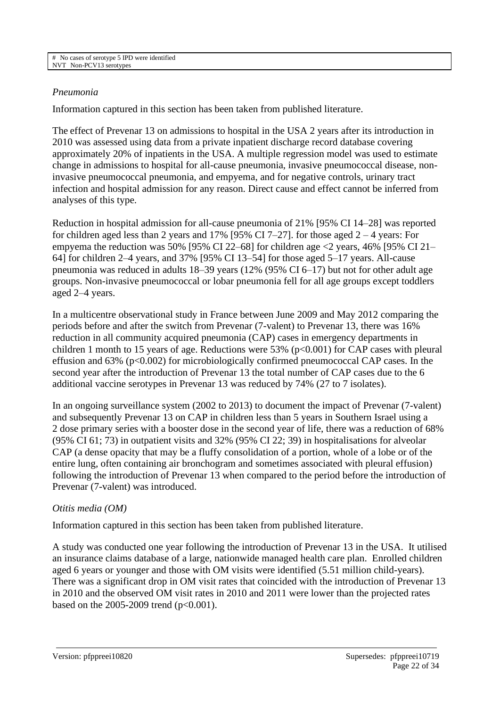#### *Pneumonia*

Information captured in this section has been taken from published literature.

The effect of Prevenar 13 on admissions to hospital in the USA 2 years after its introduction in 2010 was assessed using data from a private inpatient discharge record database covering approximately 20% of inpatients in the USA. A multiple regression model was used to estimate change in admissions to hospital for all-cause pneumonia, invasive pneumococcal disease, noninvasive pneumococcal pneumonia, and empyema, and for negative controls, urinary tract infection and hospital admission for any reason. Direct cause and effect cannot be inferred from analyses of this type.

Reduction in hospital admission for all-cause pneumonia of 21% [95% CI 14–28] was reported for children aged less than 2 years and 17% [95% CI 7–27]. for those aged  $2 - 4$  years: For empyema the reduction was 50% [95% CI 22–68] for children age <2 years, 46% [95% CI 21– 64] for children 2–4 years, and 37% [95% CI 13–54] for those aged 5–17 years. All-cause pneumonia was reduced in adults 18–39 years (12% (95% CI 6–17) but not for other adult age groups. Non-invasive pneumococcal or lobar pneumonia fell for all age groups except toddlers aged 2–4 years.

In a multicentre observational study in France between June 2009 and May 2012 comparing the periods before and after the switch from Prevenar (7-valent) to Prevenar 13, there was 16% reduction in all community acquired pneumonia (CAP) cases in emergency departments in children 1 month to 15 years of age. Reductions were  $53\%$  ( $p<0.001$ ) for CAP cases with pleural effusion and 63% (p<0.002) for microbiologically confirmed pneumococcal CAP cases. In the second year after the introduction of Prevenar 13 the total number of CAP cases due to the 6 additional vaccine serotypes in Prevenar 13 was reduced by 74% (27 to 7 isolates).

In an ongoing surveillance system (2002 to 2013) to document the impact of Prevenar (7-valent) and subsequently Prevenar 13 on CAP in children less than 5 years in Southern Israel using a 2 dose primary series with a booster dose in the second year of life, there was a reduction of 68% (95% CI 61; 73) in outpatient visits and 32% (95% CI 22; 39) in hospitalisations for alveolar CAP (a dense opacity that may be a fluffy consolidation of a portion, whole of a lobe or of the entire lung, often containing air bronchogram and sometimes associated with pleural effusion) following the introduction of Prevenar 13 when compared to the period before the introduction of Prevenar (7-valent) was introduced.

## *Otitis media (OM)*

Information captured in this section has been taken from published literature.

A study was conducted one year following the introduction of Prevenar 13 in the USA. It utilised an insurance claims database of a large, nationwide managed health care plan. Enrolled children aged 6 years or younger and those with OM visits were identified (5.51 million child-years). There was a significant drop in OM visit rates that coincided with the introduction of Prevenar 13 in 2010 and the observed OM visit rates in 2010 and 2011 were lower than the projected rates based on the 2005-2009 trend ( $p<0.001$ ).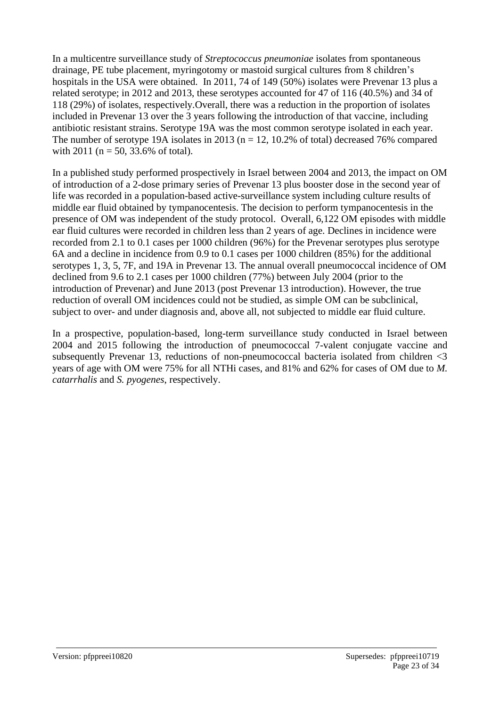In a multicentre surveillance study of *Streptococcus pneumoniae* isolates from spontaneous drainage, PE tube placement, myringotomy or mastoid surgical cultures from 8 children's hospitals in the USA were obtained. In 2011, 74 of 149 (50%) isolates were Prevenar 13 plus a related serotype; in 2012 and 2013, these serotypes accounted for 47 of 116 (40.5%) and 34 of 118 (29%) of isolates, respectively*.*Overall, there was a reduction in the proportion of isolates included in Prevenar 13 over the 3 years following the introduction of that vaccine, including antibiotic resistant strains. Serotype 19A was the most common serotype isolated in each year. The number of serotype 19A isolates in 2013 ( $n = 12$ , 10.2% of total) decreased 76% compared with 2011 ( $n = 50$ , 33.6% of total).

In a published study performed prospectively in Israel between 2004 and 2013, the impact on OM of introduction of a 2-dose primary series of Prevenar 13 plus booster dose in the second year of life was recorded in a population-based active-surveillance system including culture results of middle ear fluid obtained by tympanocentesis. The decision to perform tympanocentesis in the presence of OM was independent of the study protocol. Overall, 6,122 OM episodes with middle ear fluid cultures were recorded in children less than 2 years of age. Declines in incidence were recorded from 2.1 to 0.1 cases per 1000 children (96%) for the Prevenar serotypes plus serotype 6A and a decline in incidence from 0.9 to 0.1 cases per 1000 children (85%) for the additional serotypes 1, 3, 5, 7F, and 19A in Prevenar 13. The annual overall pneumococcal incidence of OM declined from 9.6 to 2.1 cases per 1000 children (77%) between July 2004 (prior to the introduction of Prevenar) and June 2013 (post Prevenar 13 introduction). However, the true reduction of overall OM incidences could not be studied, as simple OM can be subclinical, subject to over- and under diagnosis and, above all, not subjected to middle ear fluid culture.

In a prospective, population-based, long-term surveillance study conducted in Israel between 2004 and 2015 following the introduction of pneumococcal 7-valent conjugate vaccine and subsequently Prevenar 13, reductions of non-pneumococcal bacteria isolated from children <3 years of age with OM were 75% for all NTHi cases, and 81% and 62% for cases of OM due to *M. catarrhalis* and *S. pyogenes*, respectively.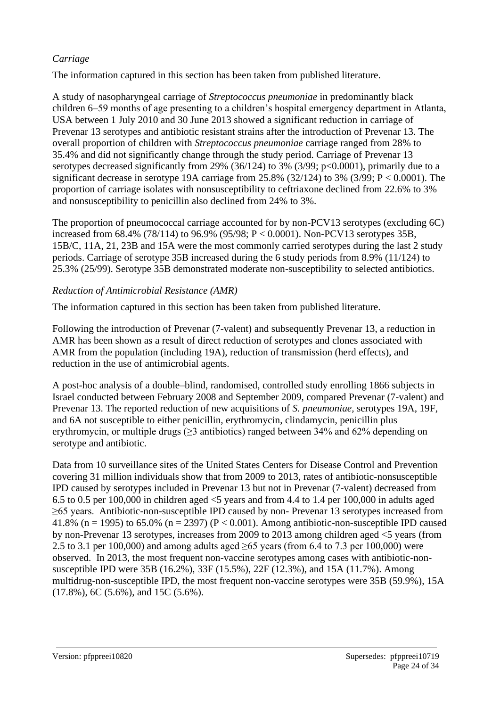#### *Carriage*

The information captured in this section has been taken from published literature.

A study of nasopharyngeal carriage of *Streptococcus pneumoniae* in predominantly black children 6–59 months of age presenting to a children's hospital emergency department in Atlanta, USA between 1 July 2010 and 30 June 2013 showed a significant reduction in carriage of Prevenar 13 serotypes and antibiotic resistant strains after the introduction of Prevenar 13. The overall proportion of children with *Streptococcus pneumoniae* carriage ranged from 28% to 35.4% and did not significantly change through the study period. Carriage of Prevenar 13 serotypes decreased significantly from 29% (36/124) to 3% (3/99; p<0.0001), primarily due to a significant decrease in serotype 19A carriage from 25.8% (32/124) to 3% (3/99; P < 0.0001). The proportion of carriage isolates with nonsusceptibility to ceftriaxone declined from 22.6% to 3% and nonsusceptibility to penicillin also declined from 24% to 3%.

The proportion of pneumococcal carriage accounted for by non-PCV13 serotypes (excluding 6C) increased from 68.4% (78/114) to 96.9% (95/98; P < 0.0001). Non-PCV13 serotypes 35B, 15B/C, 11A, 21, 23B and 15A were the most commonly carried serotypes during the last 2 study periods. Carriage of serotype 35B increased during the 6 study periods from 8.9% (11/124) to 25.3% (25/99). Serotype 35B demonstrated moderate non-susceptibility to selected antibiotics.

#### *Reduction of Antimicrobial Resistance (AMR)*

The information captured in this section has been taken from published literature.

Following the introduction of Prevenar (7-valent) and subsequently Prevenar 13, a reduction in AMR has been shown as a result of direct reduction of serotypes and clones associated with AMR from the population (including 19A), reduction of transmission (herd effects), and reduction in the use of antimicrobial agents.

A post-hoc analysis of a double–blind, randomised, controlled study enrolling 1866 subjects in Israel conducted between February 2008 and September 2009, compared Prevenar (7-valent) and Prevenar 13. The reported reduction of new acquisitions of *S. pneumoniae,* serotypes 19A, 19F, and 6A not susceptible to either penicillin, erythromycin, clindamycin, penicillin plus erythromycin, or multiple drugs  $(\geq)$  antibiotics) ranged between 34% and 62% depending on serotype and antibiotic.

Data from 10 surveillance sites of the United States Centers for Disease Control and Prevention covering 31 million individuals show that from 2009 to 2013, rates of antibiotic-nonsusceptible IPD caused by serotypes included in Prevenar 13 but not in Prevenar (7-valent) decreased from 6.5 to 0.5 per 100,000 in children aged  $<$ 5 years and from 4.4 to 1.4 per 100,000 in adults aged ≥65 years. Antibiotic-non-susceptible IPD caused by non- Prevenar 13 serotypes increased from 41.8% (n = 1995) to 65.0% (n = 2397) (P < 0.001). Among antibiotic-non-susceptible IPD caused by non-Prevenar 13 serotypes, increases from 2009 to 2013 among children aged <5 years (from 2.5 to 3.1 per 100,000) and among adults aged  $\geq 65$  years (from 6.4 to 7.3 per 100,000) were observed. In 2013, the most frequent non-vaccine serotypes among cases with antibiotic-nonsusceptible IPD were 35B (16.2%), 33F (15.5%), 22F (12.3%), and 15A (11.7%). Among multidrug-non-susceptible IPD, the most frequent non-vaccine serotypes were 35B (59.9%), 15A (17.8%), 6C (5.6%), and 15C (5.6%).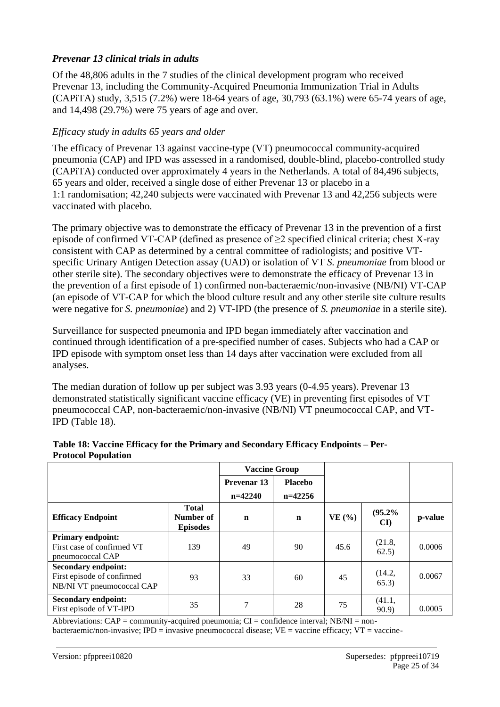## *Prevenar 13 clinical trials in adults*

Of the 48,806 adults in the 7 studies of the clinical development program who received Prevenar 13, including the Community-Acquired Pneumonia Immunization Trial in Adults (CAPiTA) study, 3,515 (7.2%) were 18-64 years of age, 30,793 (63.1%) were 65-74 years of age, and 14,498 (29.7%) were 75 years of age and over.

#### *Efficacy study in adults 65 years and older*

The efficacy of Prevenar 13 against vaccine-type (VT) pneumococcal community-acquired pneumonia (CAP) and IPD was assessed in a randomised, double-blind, placebo-controlled study (CAPiTA) conducted over approximately 4 years in the Netherlands. A total of 84,496 subjects, 65 years and older, received a single dose of either Prevenar 13 or placebo in a 1:1 randomisation; 42,240 subjects were vaccinated with Prevenar 13 and 42,256 subjects were vaccinated with placebo.

The primary objective was to demonstrate the efficacy of Prevenar 13 in the prevention of a first episode of confirmed VT-CAP (defined as presence of  $\geq 2$  specified clinical criteria; chest X-ray consistent with CAP as determined by a central committee of radiologists; and positive VTspecific Urinary Antigen Detection assay (UAD) or isolation of VT *S. pneumoniae* from blood or other sterile site). The secondary objectives were to demonstrate the efficacy of Prevenar 13 in the prevention of a first episode of 1) confirmed non-bacteraemic/non-invasive (NB/NI) VT-CAP (an episode of VT-CAP for which the blood culture result and any other sterile site culture results were negative for *S. pneumoniae*) and 2) VT-IPD (the presence of *S. pneumoniae* in a sterile site).

Surveillance for suspected pneumonia and IPD began immediately after vaccination and continued through identification of a pre-specified number of cases. Subjects who had a CAP or IPD episode with symptom onset less than 14 days after vaccination were excluded from all analyses.

The median duration of follow up per subject was 3.93 years (0-4.95 years). Prevenar 13 demonstrated statistically significant vaccine efficacy (VE) in preventing first episodes of VT pneumococcal CAP, non-bacteraemic/non-invasive (NB/NI) VT pneumococcal CAP, and VT-IPD (Table 18).

|                                                                                       | <b>Vaccine Group</b>                         |             |                |          |                        |         |
|---------------------------------------------------------------------------------------|----------------------------------------------|-------------|----------------|----------|------------------------|---------|
|                                                                                       |                                              | Prevenar 13 | <b>Placebo</b> |          |                        |         |
|                                                                                       |                                              | $n=42240$   | $n=42256$      |          |                        |         |
| <b>Efficacy Endpoint</b>                                                              | <b>Total</b><br>Number of<br><b>Episodes</b> | $\mathbf n$ | $\mathbf n$    | $VE($ %) | (95.2%<br>$\mathbf{C}$ | p-value |
| <b>Primary endpoint:</b><br>First case of confirmed VT<br>pneumococcal CAP            | 139                                          | 49          | 90             | 45.6     | (21.8,<br>62.5)        | 0.0006  |
| <b>Secondary endpoint:</b><br>First episode of confirmed<br>NB/NI VT pneumococcal CAP | 93                                           | 33          | 60             | 45       | (14.2,<br>65.3)        | 0.0067  |
| <b>Secondary endpoint:</b><br>First episode of VT-IPD                                 | 35                                           | 7           | 28             | 75       | (41.1,<br>90.9         | 0.0005  |

#### **Table 18: Vaccine Efficacy for the Primary and Secondary Efficacy Endpoints – Per-Protocol Population**

Abbreviations:  $CAP = community$ -acquired pneumonia;  $CI =$  confidence interval;  $NB/NI =$  nonbacteraemic/non-invasive; IPD = invasive pneumococcal disease;  $VE =$  vaccine efficacy;  $VT =$  vaccine-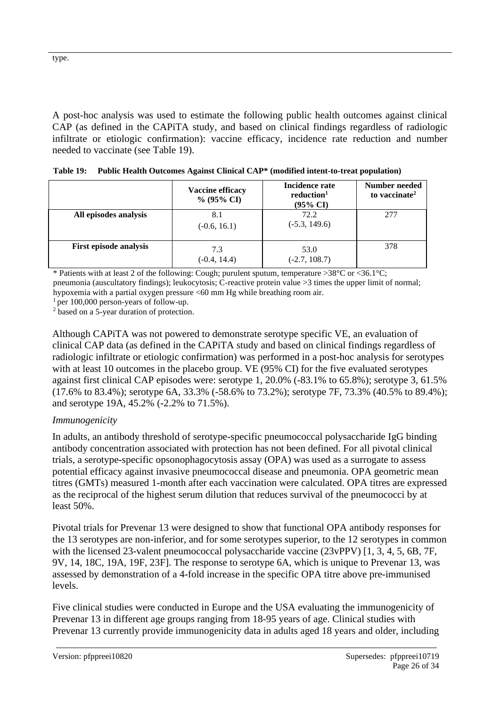A post-hoc analysis was used to estimate the following public health outcomes against clinical CAP (as defined in the CAPiTA study, and based on clinical findings regardless of radiologic infiltrate or etiologic confirmation): vaccine efficacy, incidence rate reduction and number needed to vaccinate (see Table 19).

|                               | Vaccine efficacy<br>$\%$ (95% CI) | Incidence rate<br>reduction <sup>1</sup><br>$(95\% \text{ CI})$ | Number needed<br>to vaccinate <sup>2</sup> |
|-------------------------------|-----------------------------------|-----------------------------------------------------------------|--------------------------------------------|
| All episodes analysis         | 8.1<br>$(-0.6, 16.1)$             | 72.2<br>$(-5.3, 149.6)$                                         | 277                                        |
| <b>First episode analysis</b> | 7.3<br>$(-0.4, 14.4)$             | 53.0<br>$(-2.7, 108.7)$                                         | 378                                        |

\* Patients with at least 2 of the following: Cough; purulent sputum, temperature >38°C or <36.1°C; pneumonia (auscultatory findings); leukocytosis; C-reactive protein value >3 times the upper limit of normal; hypoxemia with a partial oxygen pressure <60 mm Hg while breathing room air.

 $1$  per 100,000 person-years of follow-up.

<sup>2</sup> based on a 5-year duration of protection.

Although CAPiTA was not powered to demonstrate serotype specific VE, an evaluation of clinical CAP data (as defined in the CAPiTA study and based on clinical findings regardless of radiologic infiltrate or etiologic confirmation) was performed in a post-hoc analysis for serotypes with at least 10 outcomes in the placebo group. VE (95% CI) for the five evaluated serotypes against first clinical CAP episodes were: serotype 1, 20.0% (-83.1% to 65.8%); serotype 3, 61.5% (17.6% to 83.4%); serotype 6A, 33.3% (-58.6% to 73.2%); serotype 7F, 73.3% (40.5% to 89.4%); and serotype 19A, 45.2% (-2.2% to 71.5%).

#### *Immunogenicity*

In adults, an antibody threshold of serotype-specific pneumococcal polysaccharide IgG binding antibody concentration associated with protection has not been defined. For all pivotal clinical trials, a serotype-specific opsonophagocytosis assay (OPA) was used as a surrogate to assess potential efficacy against invasive pneumococcal disease and pneumonia. OPA geometric mean titres (GMTs) measured 1-month after each vaccination were calculated. OPA titres are expressed as the reciprocal of the highest serum dilution that reduces survival of the pneumococci by at least 50%.

Pivotal trials for Prevenar 13 were designed to show that functional OPA antibody responses for the 13 serotypes are non-inferior, and for some serotypes superior, to the 12 serotypes in common with the licensed 23-valent pneumococcal polysaccharide vaccine (23vPPV) [1, 3, 4, 5, 6B, 7F, 9V, 14, 18C, 19A, 19F, 23F]. The response to serotype 6A, which is unique to Prevenar 13, was assessed by demonstration of a 4-fold increase in the specific OPA titre above pre-immunised levels.

Five clinical studies were conducted in Europe and the USA evaluating the immunogenicity of Prevenar 13 in different age groups ranging from 18-95 years of age. Clinical studies with Prevenar 13 currently provide immunogenicity data in adults aged 18 years and older, including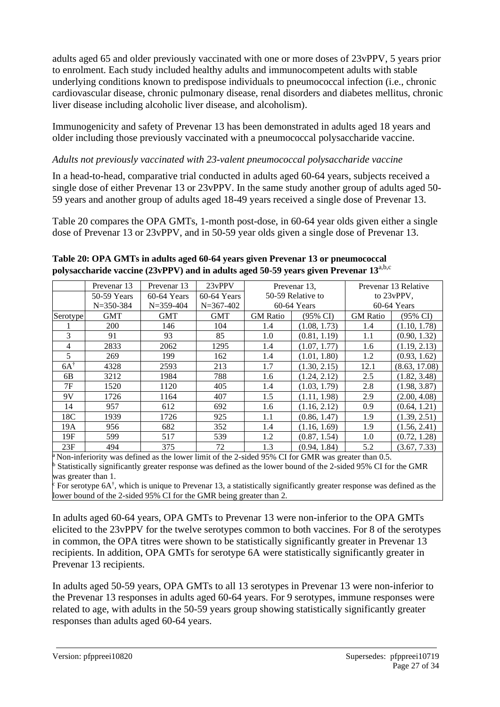adults aged 65 and older previously vaccinated with one or more doses of 23vPPV, 5 years prior to enrolment. Each study included healthy adults and immunocompetent adults with stable underlying conditions known to predispose individuals to pneumococcal infection (i.e., chronic cardiovascular disease, chronic pulmonary disease, renal disorders and diabetes mellitus, chronic liver disease including alcoholic liver disease, and alcoholism).

Immunogenicity and safety of Prevenar 13 has been demonstrated in adults aged 18 years and older including those previously vaccinated with a pneumococcal polysaccharide vaccine.

## *Adults not previously vaccinated with 23-valent pneumococcal polysaccharide vaccine*

In a head-to-head, comparative trial conducted in adults aged 60-64 years, subjects received a single dose of either Prevenar 13 or 23vPPV. In the same study another group of adults aged 50- 59 years and another group of adults aged 18-49 years received a single dose of Prevenar 13.

Table 20 compares the OPA GMTs, 1-month post-dose, in 60-64 year olds given either a single dose of Prevenar 13 or 23vPPV, and in 50-59 year olds given a single dose of Prevenar 13.

|                | Prevenar 13     | Prevenar 13     | 23vPPV          |                   | Prevenar 13.        |                 | Prevenar 13 Relative |
|----------------|-----------------|-----------------|-----------------|-------------------|---------------------|-----------------|----------------------|
|                | 50-59 Years     | $60-64$ Years   | $60-64$ Years   | 50-59 Relative to |                     | to 23yPPV,      |                      |
|                | $N = 350 - 384$ | $N = 359 - 404$ | $N = 367 - 402$ |                   | $60-64$ Years       |                 | 60-64 Years          |
| Serotype       | <b>GMT</b>      | <b>GMT</b>      | <b>GMT</b>      | <b>GM</b> Ratio   | $(95\% \text{ CI})$ | <b>GM</b> Ratio | $(95\% \text{ CI})$  |
|                | <b>200</b>      | 146             | 104             | 1.4               | (1.08, 1.73)        | 1.4             | (1.10, 1.78)         |
| 3              | 91              | 93              | 85              | 1.0               | (0.81, 1.19)        | 1.1             | (0.90, 1.32)         |
| $\overline{4}$ | 2833            | 2062            | 1295            | 1.4               | (1.07, 1.77)        | 1.6             | (1.19, 2.13)         |
| 5              | 269             | 199             | 162             | 1.4               | (1.01, 1.80)        | 1.2             | (0.93, 1.62)         |
| $6A^{\dagger}$ | 4328            | 2593            | 213             | 1.7               | (1.30, 2.15)        | 12.1            | (8.63, 17.08)        |
| 6 <sub>B</sub> | 3212            | 1984            | 788             | 1.6               | (1.24, 2.12)        | 2.5             | (1.82, 3.48)         |
| 7F             | 1520            | 1120            | 405             | 1.4               | (1.03, 1.79)        | 2.8             | (1.98, 3.87)         |
| 9V             | 1726            | 1164            | 407             | 1.5               | (1.11, 1.98)        | 2.9             | (2.00, 4.08)         |
| 14             | 957             | 612             | 692             | 1.6               | (1.16, 2.12)        | 0.9             | (0.64, 1.21)         |
| 18C            | 1939            | 1726            | 925             | 1.1               | (0.86, 1.47)        | 1.9             | (1.39, 2.51)         |
| 19A            | 956             | 682             | 352             | 1.4               | (1.16, 1.69)        | 1.9             | (1.56, 2.41)         |
| 19F            | 599             | 517             | 539             | 1.2               | (0.87, 1.54)        | 1.0             | (0.72, 1.28)         |
| 23F            | 494             | 375             | 72              | 1.3               | (0.94, 1.84)        | 5.2             | (3.67, 7.33)         |

#### **Table 20: OPA GMTs in adults aged 60-64 years given Prevenar 13 or pneumococcal polysaccharide vaccine (23vPPV) and in adults aged 50-59 years given Prevenar 13**a,b,c

Non-inferiority was defined as the lower limit of the 2-sided 95% CI for GMR was greater than 0.5. <sup>b</sup> Statistically significantly greater response was defined as the lower bound of the 2-sided 95% CI for the GMR was greater than 1.

For serotype 6A<sup>†</sup>, which is unique to Prevenar 13, a statistically significantly greater response was defined as the lower bound of the 2-sided 95% CI for the GMR being greater than 2.

In adults aged 60-64 years, OPA GMTs to Prevenar 13 were non-inferior to the OPA GMTs elicited to the 23vPPV for the twelve serotypes common to both vaccines. For 8 of the serotypes in common, the OPA titres were shown to be statistically significantly greater in Prevenar 13 recipients. In addition, OPA GMTs for serotype 6A were statistically significantly greater in Prevenar 13 recipients.

In adults aged 50-59 years, OPA GMTs to all 13 serotypes in Prevenar 13 were non-inferior to the Prevenar 13 responses in adults aged 60-64 years. For 9 serotypes, immune responses were related to age, with adults in the 50-59 years group showing statistically significantly greater responses than adults aged 60-64 years.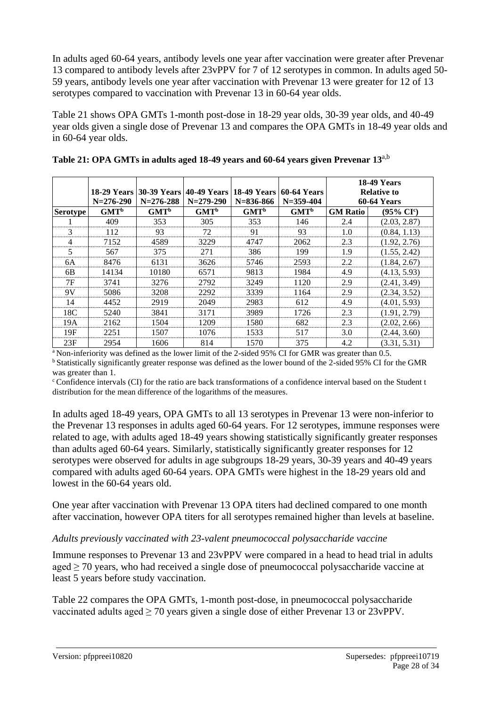In adults aged 60-64 years, antibody levels one year after vaccination were greater after Prevenar 13 compared to antibody levels after 23vPPV for 7 of 12 serotypes in common. In adults aged 50- 59 years, antibody levels one year after vaccination with Prevenar 13 were greater for 12 of 13 serotypes compared to vaccination with Prevenar 13 in 60-64 year olds.

Table 21 shows OPA GMTs 1-month post-dose in 18-29 year olds, 30-39 year olds, and 40-49 year olds given a single dose of Prevenar 13 and compares the OPA GMTs in 18-49 year olds and in 60-64 year olds.

|                 | <b>18-29 Years</b><br>$N = 276 - 290$ | $N = 276 - 288$  | 30-39 Years 40-49 Years 18-49 Years 1<br>$N = 279 - 290$ | $N = 836 - 866$  | <b>60-64 Years</b><br>$N = 359 - 404$ |                 | <b>18-49 Years</b><br><b>Relative to</b><br><b>60-64 Years</b> |
|-----------------|---------------------------------------|------------------|----------------------------------------------------------|------------------|---------------------------------------|-----------------|----------------------------------------------------------------|
| <b>Serotype</b> | GMT <sup>b</sup>                      | GMT <sup>b</sup> | GMT <sup>b</sup>                                         | GMT <sup>b</sup> | GMT <sup>b</sup>                      | <b>GM Ratio</b> | $(95\% \text{ CI}^{\text{c}})$                                 |
|                 | 409                                   | 353              | 305                                                      | 353              | 146                                   | 2.4             | (2.03, 2.87)                                                   |
| 3               | 112                                   | 93               | 72                                                       | 91               | 93                                    | 1.0             | (0.84, 1.13)                                                   |
| 4               | 7152                                  | 4589             | 3229                                                     | 4747             | 2062                                  | 2.3             | (1.92, 2.76)                                                   |
| 5               | 567                                   | 375              | 271                                                      | 386              | 199                                   | 1.9             | (1.55, 2.42)                                                   |
| 6A              | 8476                                  | 6131             | 3626                                                     | 5746             | 2593                                  | 2.2             | (1.84, 2.67)                                                   |
| 6B              | 14134                                 | 10180            | 6571                                                     | 9813             | 1984                                  | 4.9             | (4.13, 5.93)                                                   |
| 7F              | 3741                                  | 3276             | 2792                                                     | 3249             | 1120                                  | 2.9             | (2.41, 3.49)                                                   |
| 9V              | 5086                                  | 3208             | 2292                                                     | 3339             | 1164                                  | 2.9             | (2.34, 3.52)                                                   |
| 14              | 4452                                  | 2919             | 2049                                                     | 2983             | 612                                   | 4.9             | (4.01, 5.93)                                                   |
| 18C             | 5240                                  | 3841             | 3171                                                     | 3989             | 1726                                  | 2.3             | (1.91, 2.79)                                                   |
| 19A             | 2162                                  | 1504             | 1209                                                     | 1580             | 682                                   | 2.3             | (2.02, 2.66)                                                   |
| 19F             | 2251                                  | 1507             | 1076                                                     | 1533             | 517                                   | 3.0             | (2.44, 3.60)                                                   |
| 23F             | 2954                                  | 1606             | 814                                                      | 1570             | 375                                   | 4.2             | (3.31, 5.31)                                                   |

| Table 21: OPA GMTs in adults aged 18-49 years and 60-64 years given Prevenar 13 <sup>a,b</sup> |  |
|------------------------------------------------------------------------------------------------|--|
|------------------------------------------------------------------------------------------------|--|

 $a$ Non-inferiority was defined as the lower limit of the 2-sided 95% CI for GMR was greater than 0.5.

<sup>b</sup> Statistically significantly greater response was defined as the lower bound of the 2-sided 95% CI for the GMR was greater than 1.

<sup>c</sup> Confidence intervals (CI) for the ratio are back transformations of a confidence interval based on the Student t distribution for the mean difference of the logarithms of the measures.

In adults aged 18-49 years, OPA GMTs to all 13 serotypes in Prevenar 13 were non-inferior to the Prevenar 13 responses in adults aged 60-64 years. For 12 serotypes, immune responses were related to age, with adults aged 18-49 years showing statistically significantly greater responses than adults aged 60-64 years. Similarly, statistically significantly greater responses for 12 serotypes were observed for adults in age subgroups 18-29 years, 30-39 years and 40-49 years compared with adults aged 60-64 years. OPA GMTs were highest in the 18-29 years old and lowest in the 60-64 years old.

One year after vaccination with Prevenar 13 OPA titers had declined compared to one month after vaccination, however OPA titers for all serotypes remained higher than levels at baseline.

## *Adults previously vaccinated with 23-valent pneumococcal polysaccharide vaccine*

Immune responses to Prevenar 13 and 23vPPV were compared in a head to head trial in adults aged  $\geq$  70 years, who had received a single dose of pneumococcal polysaccharide vaccine at least 5 years before study vaccination.

Table 22 compares the OPA GMTs, 1-month post-dose, in pneumococcal polysaccharide vaccinated adults aged  $\geq$  70 years given a single dose of either Prevenar 13 or 23vPPV.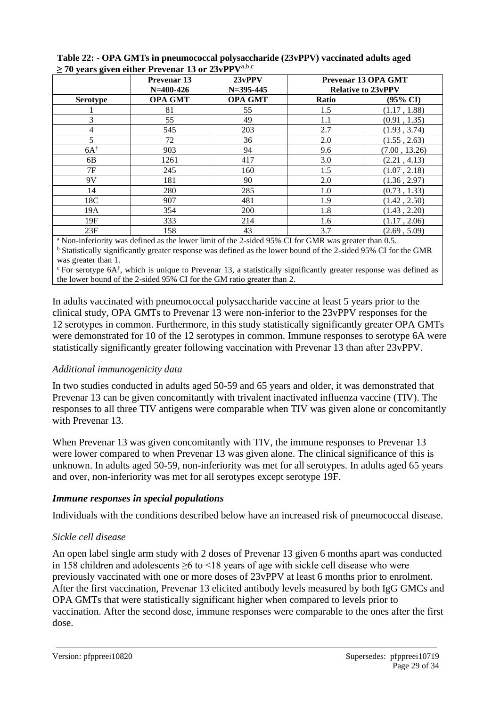| . . <i>.</i> 9. . | <b>Prevenar 13</b><br>$N=400-426$ | $23v$ PPV<br>$N = 395 - 445$ | Prevenar 13 OPA GMT<br><b>Relative to 23vPPV</b> |                     |
|-------------------|-----------------------------------|------------------------------|--------------------------------------------------|---------------------|
| <b>Serotype</b>   | <b>OPA GMT</b>                    | <b>OPA GMT</b>               | <b>Ratio</b>                                     | $(95\% \text{ CI})$ |
|                   | 81                                | 55                           | 1.5                                              | (1.17, 1.88)        |
| 3                 | 55                                | 49                           | 1.1                                              | (0.91, 1.35)        |
| $\overline{4}$    | 545                               | 203                          | 2.7                                              | (1.93, 3.74)        |
| 5                 | 72                                | 36                           | 2.0                                              | (1.55, 2.63)        |
| $6A^{\dagger}$    | 903                               | 94                           | 9.6                                              | (7.00, 13.26)       |
| 6B                | 1261                              | 417                          | 3.0                                              | (2.21, 4.13)        |
| 7F                | 245                               | 160                          | 1.5                                              | (1.07, 2.18)        |
| 9V                | 181                               | 90                           | 2.0                                              | (1.36, 2.97)        |
| 14                | 280                               | 285                          | 1.0                                              | (0.73, 1.33)        |
| 18C               | 907                               | 481                          | 1.9                                              | (1.42, 2.50)        |
| 19A               | 354                               | 200                          | 1.8                                              | (1.43, 2.20)        |
| 19F               | 333                               | 214                          | 1.6                                              | (1.17, 2.06)        |
| 23F               | 158                               | 43                           | 3.7                                              | (2.69, 5.09)        |

**Table 22: - OPA GMTs in pneumococcal polysaccharide (23vPPV) vaccinated adults aged ≥ 70 years given either Prevenar 13 or 23vPPV**a,b,c

<sup>a</sup> Non-inferiority was defined as the lower limit of the 2-sided 95% CI for GMR was greater than 0.5. <sup>b</sup> Statistically significantly greater response was defined as the lower bound of the 2-sided 95% CI for the GMR was greater than 1.

 $\epsilon$  For serotype 6A<sup>†</sup>, which is unique to Prevenar 13, a statistically significantly greater response was defined as the lower bound of the 2-sided 95% CI for the GM ratio greater than 2.

In adults vaccinated with pneumococcal polysaccharide vaccine at least 5 years prior to the clinical study, OPA GMTs to Prevenar 13 were non-inferior to the 23vPPV responses for the 12 serotypes in common. Furthermore, in this study statistically significantly greater OPA GMTs were demonstrated for 10 of the 12 serotypes in common. Immune responses to serotype 6A were statistically significantly greater following vaccination with Prevenar 13 than after 23vPPV.

## *Additional immunogenicity data*

In two studies conducted in adults aged 50-59 and 65 years and older, it was demonstrated that Prevenar 13 can be given concomitantly with trivalent inactivated influenza vaccine (TIV). The responses to all three TIV antigens were comparable when TIV was given alone or concomitantly with Prevenar 13.

When Prevenar 13 was given concomitantly with TIV, the immune responses to Prevenar 13 were lower compared to when Prevenar 13 was given alone. The clinical significance of this is unknown. In adults aged 50-59, non-inferiority was met for all serotypes. In adults aged 65 years and over, non-inferiority was met for all serotypes except serotype 19F.

#### *Immune responses in special populations*

Individuals with the conditions described below have an increased risk of pneumococcal disease.

## *Sickle cell disease*

An open label single arm study with 2 doses of Prevenar 13 given 6 months apart was conducted in 158 children and adolescents ≥6 to <18 years of age with sickle cell disease who were previously vaccinated with one or more doses of 23vPPV at least 6 months prior to enrolment. After the first vaccination, Prevenar 13 elicited antibody levels measured by both IgG GMCs and OPA GMTs that were statistically significant higher when compared to levels prior to vaccination. After the second dose, immune responses were comparable to the ones after the first dose.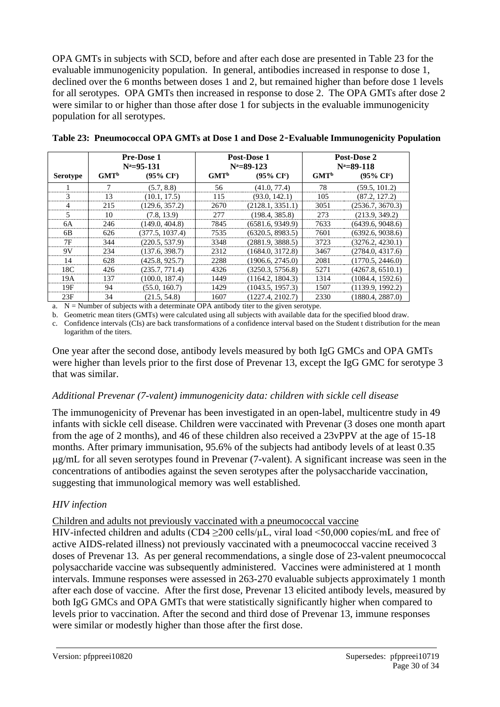OPA GMTs in subjects with SCD, before and after each dose are presented in Table 23 for the evaluable immunogenicity population. In general, antibodies increased in response to dose 1, declined over the 6 months between doses 1 and 2, but remained higher than before dose 1 levels for all serotypes. OPA GMTs then increased in response to dose 2. The OPA GMTs after dose 2 were similar to or higher than those after dose 1 for subjects in the evaluable immunogenicity population for all serotypes.

|                 | <b>Pre-Dose 1</b> |                       |                  | Post-Dose 1           | Post-Dose 2      |                       |
|-----------------|-------------------|-----------------------|------------------|-----------------------|------------------|-----------------------|
|                 |                   | $N^a = 95 - 131$      |                  | $N^a = 89 - 123$      | $N^a = 89 - 118$ |                       |
| <b>Serotype</b> | GMT <sup>b</sup>  | $(95\% \text{ CI}^c)$ | GMT <sup>b</sup> | $(95\% \text{ CI}^c)$ | GMT <sup>b</sup> | $(95\% \text{ CI}^c)$ |
|                 | 7                 | (5.7, 8.8)            | 56               | (41.0, 77.4)          | 78               | (59.5, 101.2)         |
| 3               | 13                | (10.1, 17.5)          | 115              | (93.0, 142.1)         | 105              | (87.2, 127.2)         |
| 4               | 215               | (129.6, 357.2)        | 2670             | (2128.1, 3351.1)      | 3051             | (2536.7, 3670.3)      |
| 5               | 10                | (7.8, 13.9)           | 277              | (198.4, 385.8)        | 273              | (213.9, 349.2)        |
| 6A              | 246               | (149.0, 404.8)        | 7845             | (6581.6, 9349.9)      | 7633             | (6439.6, 9048.6)      |
| 6B              | 626               | (377.5, 1037.4)       | 7535             | (6320.5, 8983.5)      | 7601             | (6392.6, 9038.6)      |
| 7F              | 344               | (220.5, 537.9)        | 3348             | (2881.9, 3888.5)      | 3723             | (3276.2, 4230.1)      |
| 9V              | 234               | (137.6, 398.7)        | 2312             | (1684.0, 3172.8)      | 3467             | (2784.0, 4317.6)      |
| 14              | 628               | (425.8, 925.7)        | 2288             | (1906.6, 2745.0)      | 2081             | (1770.5, 2446.0)      |
| 18C             | 426               | (235.7, 771.4)        | 4326             | (3250.3, 5756.8)      | 5271             | (4267.8, 6510.1)      |
| 19A             | 137               | (100.0, 187.4)        | 1449             | (1164.2, 1804.3)      | 1314             | (1084.4, 1592.6)      |
| 19F             | 94                | (55.0, 160.7)         | 1429             | (1043.5, 1957.3)      | 1507             | (1139.9, 1992.2)      |
| 23F             | 34                | (21.5, 54.8)          | 1607             | (1227.4, 2102.7)      | 2330             | (1880.4, 2887.0)      |

|  | Table 23: Pneumococcal OPA GMTs at Dose 1 and Dose 2-Evaluable Immunogenicity Population |  |  |  |  |  |
|--|------------------------------------------------------------------------------------------|--|--|--|--|--|
|--|------------------------------------------------------------------------------------------|--|--|--|--|--|

a.  $N =$  Number of subjects with a determinate OPA antibody titer to the given serotype.

b. Geometric mean titers (GMTs) were calculated using all subjects with available data for the specified blood draw.

c. Confidence intervals (CIs) are back transformations of a confidence interval based on the Student t distribution for the mean logarithm of the titers.

One year after the second dose, antibody levels measured by both IgG GMCs and OPA GMTs were higher than levels prior to the first dose of Prevenar 13, except the IgG GMC for serotype 3 that was similar.

#### *Additional Prevenar (7-valent) immunogenicity data: children with sickle cell disease*

The immunogenicity of Prevenar has been investigated in an open-label, multicentre study in 49 infants with sickle cell disease. Children were vaccinated with Prevenar (3 doses one month apart from the age of 2 months), and 46 of these children also received a 23vPPV at the age of 15-18 months. After primary immunisation, 95.6% of the subjects had antibody levels of at least 0.35 g/mL for all seven serotypes found in Prevenar (7-valent). A significant increase was seen in the concentrations of antibodies against the seven serotypes after the polysaccharide vaccination, suggesting that immunological memory was well established.

## *HIV infection*

Children and adults not previously vaccinated with a pneumococcal vaccine

HIV-infected children and adults (CD4  $\geq$ 200 cells/ $\mu$ L, viral load <50,000 copies/mL and free of active AIDS-related illness) not previously vaccinated with a pneumococcal vaccine received 3 doses of Prevenar 13. As per general recommendations, a single dose of 23-valent pneumococcal polysaccharide vaccine was subsequently administered. Vaccines were administered at 1 month intervals. Immune responses were assessed in 263-270 evaluable subjects approximately 1 month after each dose of vaccine. After the first dose, Prevenar 13 elicited antibody levels, measured by both IgG GMCs and OPA GMTs that were statistically significantly higher when compared to levels prior to vaccination. After the second and third dose of Prevenar 13, immune responses were similar or modestly higher than those after the first dose.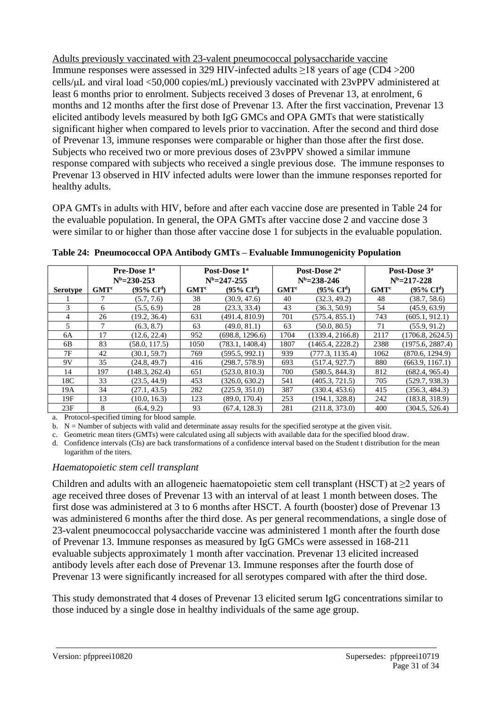Adults previously vaccinated with 23-valent pneumococcal polysaccharide vaccine Immune responses were assessed in 329 HIV-infected adults ≥18 years of age (CD4 >200 cells/L and viral load <50,000 copies/mL) previously vaccinated with 23vPPV administered at least 6 months prior to enrolment. Subjects received 3 doses of Prevenar 13, at enrolment, 6 months and 12 months after the first dose of Prevenar 13. After the first vaccination, Prevenar 13 elicited antibody levels measured by both IgG GMCs and OPA GMTs that were statistically significant higher when compared to levels prior to vaccination. After the second and third dose of Prevenar 13, immune responses were comparable or higher than those after the first dose. Subjects who received two or more previous doses of 23vPPV showed a similar immune response compared with subjects who received a single previous dose. The immune responses to Prevenar 13 observed in HIV infected adults were lower than the immune responses reported for healthy adults.

OPA GMTs in adults with HIV, before and after each vaccine dose are presented in Table 24 for the evaluable population. In general, the OPA GMTs after vaccine dose 2 and vaccine dose 3 were similar to or higher than those after vaccine dose 1 for subjects in the evaluable population.

|                 | Pre-Dose 1 <sup>a</sup> |                          |                  | Post-Dose 1 <sup>a</sup> | Post-Dose 2 <sup>a</sup> |                       |                  | Post-Dose 3 <sup>a</sup> |
|-----------------|-------------------------|--------------------------|------------------|--------------------------|--------------------------|-----------------------|------------------|--------------------------|
|                 |                         | $N^b = 230 - 253$        |                  | $N^b = 247 - 255$        |                          | $N^b = 238 - 246$     |                  | $N^b = 217 - 228$        |
| <b>Serotype</b> | GMT <sup>c</sup>        | $(95\% \ \mathrm{CI}^d)$ | GMT <sup>c</sup> | $(95\% \ \mathrm{CI}^d)$ | GMT <sup>c</sup>         | $(95\% \text{ CI}^d)$ | GMT <sup>c</sup> | $(95\% \ \mathrm{CI}^d)$ |
|                 |                         | (5.7, 7.6)               | 38               | (30.9, 47.6)             | 40                       | (32.3, 49.2)          | 48               | (38.7, 58.6)             |
| 3               | 6                       | (5.5, 6.9)               | 28               | (23.3, 33.4)             | 43                       | (36.3, 50.9)          | 54               | (45.9, 63.9)             |
| 4               | 26                      | (19.2, 36.4)             | 631              | (491.4, 810.9)           | 701                      | (575.4, 855.1)        | 743              | (605.1, 912.1)           |
| 5               |                         | (6.3, 8.7)               | 63               | (49.0, 81.1)             | 63                       | (50.0, 80.5)          | 71               | (55.9, 91.2)             |
| 6A              | 17                      | (12.6, 22.4)             | 952              | (698.8, 1296.6)          | 1704                     | (1339.4, 2166.8)      | 2117             | (1706.8, 2624.5)         |
| 6B              | 83                      | (58.0, 117.5)            | 1050             | (783.1, 1408.4)          | 1807                     | (1465.4, 2228.2)      | 2388             | (1975.6, 2887.4)         |
| 7F              | 42                      | (30.1, 59.7)             | 769              | (595.5, 992.1)           | 939                      | (777.3, 1135.4)       | 1062             | (870.6, 1294.9)          |
| 9V              | 35                      | (24.8, 49.7)             | 416              | (298.7, 578.9)           | 693                      | (517.4, 927.7)        | 880              | (663.9, 1167.1)          |
| 14              | 197                     | (148.3, 262.4)           | 651              | (523.0, 810.3)           | 700                      | (580.5, 844.3)        | 812              | (682.4, 965.4)           |
| 18C             | 33                      | (23.5, 44.9)             | 453              | (326.0, 630.2)           | 541                      | (405.3, 721.5)        | 705              | (529.7, 938.3)           |
| 19A             | 34                      | (27.1, 43.5)             | 282              | (225.9, 351.0)           | 387                      | (330.4, 453.6)        | 415              | (356.3, 484.3)           |
| 19F             | 13                      | (10.0, 16.3)             | 123              | (89.0, 170.4)            | 253                      | (194.1, 328.8)        | 242              | (183.8, 318.9)           |
| 23F             | 8                       | (6.4, 9.2)               | 93               | (67.4, 128.3)            | 281                      | (211.8, 373.0)        | 400              | (304.5, 526.4)           |

**Table 24: Pneumococcal OPA Antibody GMTs – Evaluable Immunogenicity Population**

a. Protocol-specified timing for blood sample.

b. N = Number of subjects with valid and determinate assay results for the specified serotype at the given visit.

c. Geometric mean titers (GMTs) were calculated using all subjects with available data for the specified blood draw.

d. Confidence intervals (CIs) are back transformations of a confidence interval based on the Student t distribution for the mean logarithm of the titers.

#### *Haematopoietic stem cell transplant*

Children and adults with an allogeneic haematopoietic stem cell transplant (HSCT) at  $\geq$ 2 years of age received three doses of Prevenar 13 with an interval of at least 1 month between doses. The first dose was administered at 3 to 6 months after HSCT. A fourth (booster) dose of Prevenar 13 was administered 6 months after the third dose. As per general recommendations, a single dose of 23-valent pneumococcal polysaccharide vaccine was administered 1 month after the fourth dose of Prevenar 13. Immune responses as measured by IgG GMCs were assessed in 168-211 evaluable subjects approximately 1 month after vaccination. Prevenar 13 elicited increased antibody levels after each dose of Prevenar 13. Immune responses after the fourth dose of Prevenar 13 were significantly increased for all serotypes compared with after the third dose.

This study demonstrated that 4 doses of Prevenar 13 elicited serum IgG concentrations similar to those induced by a single dose in healthy individuals of the same age group.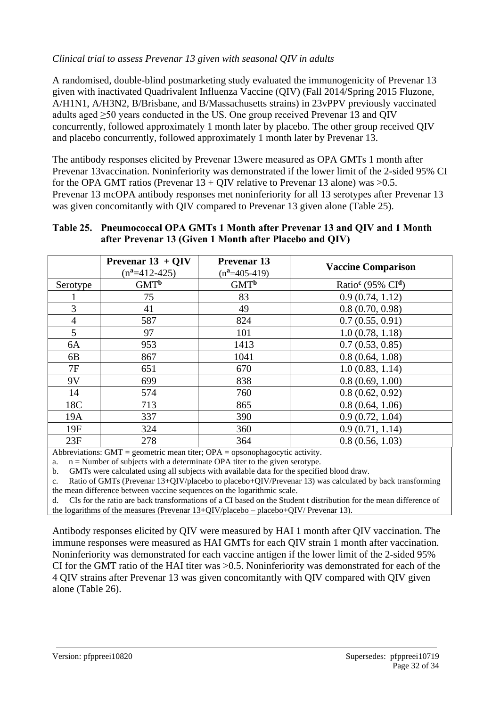#### *Clinical trial to assess Prevenar 13 given with seasonal QIV in adults*

A randomised, double-blind postmarketing study evaluated the immunogenicity of Prevenar 13 given with inactivated Quadrivalent Influenza Vaccine (QIV) (Fall 2014/Spring 2015 Fluzone, A/H1N1, A/H3N2, B/Brisbane, and B/Massachusetts strains) in 23vPPV previously vaccinated adults aged ≥50 years conducted in the US. One group received Prevenar 13 and QIV concurrently, followed approximately 1 month later by placebo. The other group received QIV and placebo concurrently, followed approximately 1 month later by Prevenar 13.

The antibody responses elicited by Prevenar 13were measured as OPA GMTs 1 month after Prevenar 13vaccination. Noninferiority was demonstrated if the lower limit of the 2-sided 95% CI for the OPA GMT ratios (Prevenar  $13 + Q$ IV relative to Prevenar 13 alone) was  $>0.5$ . Prevenar 13 mcOPA antibody responses met noninferiority for all 13 serotypes after Prevenar 13 was given concomitantly with QIV compared to Prevenar 13 given alone (Table 25).

#### **Table 25. Pneumococcal OPA GMTs 1 Month after Prevenar 13 and QIV and 1 Month after Prevenar 13 (Given 1 Month after Placebo and QIV)**

|                | <b>Prevenar 13 + QIV</b><br>$(n^a=412-425)$ | <b>Prevenar 13</b><br>$(n^2=405-419)$ | <b>Vaccine Comparison</b>       |
|----------------|---------------------------------------------|---------------------------------------|---------------------------------|
| Serotype       | $GMT^b$                                     | $GMT^b$                               | Ratio <sup>c</sup> (95% $CId$ ) |
|                | 75                                          | 83                                    | 0.9(0.74, 1.12)                 |
| 3              | 41                                          | 49                                    | 0.8(0.70, 0.98)                 |
| $\overline{4}$ | 587                                         | 824                                   | 0.7(0.55, 0.91)                 |
| 5              | 97                                          | 101                                   | 1.0(0.78, 1.18)                 |
| 6A             | 953                                         | 1413                                  | 0.7(0.53, 0.85)                 |
| 6B             | 867                                         | 1041                                  | 0.8(0.64, 1.08)                 |
| 7F             | 651                                         | 670                                   | 1.0(0.83, 1.14)                 |
| 9V             | 699                                         | 838                                   | 0.8(0.69, 1.00)                 |
| 14             | 574                                         | 760                                   | 0.8(0.62, 0.92)                 |
| 18C            | 713                                         | 865                                   | 0.8(0.64, 1.06)                 |
| 19A            | 337                                         | 390                                   | 0.9(0.72, 1.04)                 |
| 19F            | 324                                         | 360                                   | 0.9(0.71, 1.14)                 |
| 23F            | 278                                         | 364                                   | 0.8(0.56, 1.03)                 |

Abbreviations: GMT = geometric mean titer; OPA = opsonophagocytic activity.

a.  $n =$  Number of subjects with a determinate OPA titer to the given serotype.

b. GMTs were calculated using all subjects with available data for the specified blood draw.<br>c. Ratio of GMTs (Prevenar 13+OIV/blacebo to placebo+OIV/Prevenar 13) was calculated by

Ratio of GMTs (Prevenar 13+QIV/placebo to placebo+QIV/Prevenar 13) was calculated by back transforming the mean difference between vaccine sequences on the logarithmic scale.

d. CIs for the ratio are back transformations of a CI based on the Student t distribution for the mean difference of the logarithms of the measures (Prevenar 13+QIV/placebo – placebo+QIV/ Prevenar 13).

Antibody responses elicited by QIV were measured by HAI 1 month after QIV vaccination. The immune responses were measured as HAI GMTs for each QIV strain 1 month after vaccination. Noninferiority was demonstrated for each vaccine antigen if the lower limit of the 2-sided 95% CI for the GMT ratio of the HAI titer was >0.5. Noninferiority was demonstrated for each of the 4 QIV strains after Prevenar 13 was given concomitantly with QIV compared with QIV given alone (Table 26).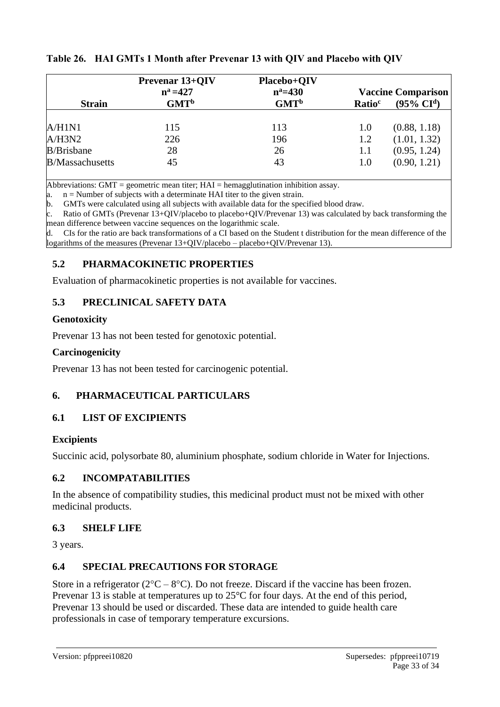| <b>Strain</b>           | <b>Prevenar 13+QIV</b><br>$n^a = 427$<br>GMT <sup>b</sup> | Placebo+QIV<br>$n^a = 430$<br>GMT <sup>b</sup> | Ratio <sup>c</sup> | <b>Vaccine Comparison</b><br>$(95\% \ \mathrm{CI}^d)$ |
|-------------------------|-----------------------------------------------------------|------------------------------------------------|--------------------|-------------------------------------------------------|
|                         |                                                           |                                                |                    |                                                       |
| A/H1N1                  | 115                                                       | 113                                            | 1.0                | (0.88, 1.18)                                          |
| A/H3N2                  | 226                                                       | 196                                            | 1.2                | (1.01, 1.32)                                          |
| <b>B</b> /Brisbane      | 28                                                        | 26                                             | 1.1                | (0.95, 1.24)                                          |
| <b>B</b> /Massachusetts | 45                                                        | 43                                             | 1.0                | (0.90, 1.21)                                          |

## **Table 26. HAI GMTs 1 Month after Prevenar 13 with QIV and Placebo with QIV**

Abbreviations: GMT = geometric mean titer;  $HAI =$  hemagglutination inhibition assay.

a.  $n =$  Number of subjects with a determinate HAI titer to the given strain.

b. GMTs were calculated using all subjects with available data for the specified blood draw.

c. Ratio of GMTs (Prevenar 13+QIV/placebo to placebo+QIV/Prevenar 13) was calculated by back transforming the mean difference between vaccine sequences on the logarithmic scale.

d. CIs for the ratio are back transformations of a CI based on the Student t distribution for the mean difference of the logarithms of the measures (Prevenar 13+QIV/placebo – placebo+QIV/Prevenar 13).

#### **5.2 PHARMACOKINETIC PROPERTIES**

Evaluation of pharmacokinetic properties is not available for vaccines.

## **5.3 PRECLINICAL SAFETY DATA**

#### **Genotoxicity**

Prevenar 13 has not been tested for genotoxic potential.

#### **Carcinogenicity**

Prevenar 13 has not been tested for carcinogenic potential.

## **6. PHARMACEUTICAL PARTICULARS**

## **6.1 LIST OF EXCIPIENTS**

#### **Excipients**

Succinic acid, polysorbate 80, aluminium phosphate, sodium chloride in Water for Injections.

#### **6.2 INCOMPATABILITIES**

In the absence of compatibility studies, this medicinal product must not be mixed with other medicinal products.

#### **6.3 SHELF LIFE**

3 years.

#### **6.4 SPECIAL PRECAUTIONS FOR STORAGE**

Store in a refrigerator ( $2^{\circ}C - 8^{\circ}C$ ). Do not freeze. Discard if the vaccine has been frozen. Prevenar 13 is stable at temperatures up to 25<sup>o</sup>C for four days. At the end of this period, Prevenar 13 should be used or discarded. These data are intended to guide health care professionals in case of temporary temperature excursions.